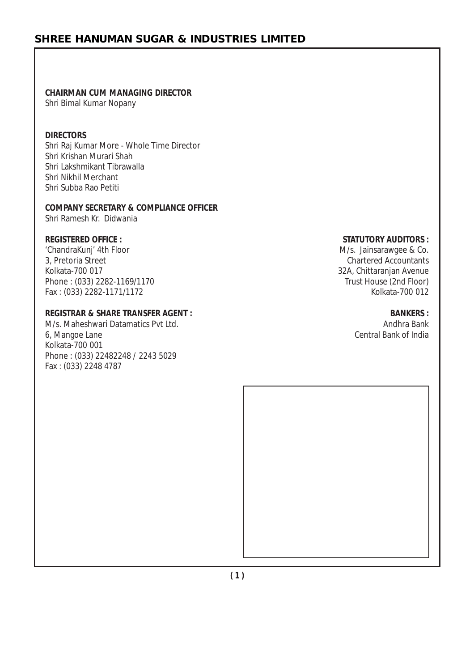# **CHAIRMAN CUM MANAGING DIRECTOR**

Shri Bimal Kumar Nopany

#### **DIRECTORS**

Shri Raj Kumar More - Whole Time Director Shri Krishan Murari Shah Shri Lakshmikant Tibrawalla Shri Nikhil Merchant Shri Subba Rao Petiti

## **COMPANY SECRETARY & COMPLIANCE OFFICER**

Shri Ramesh Kr. Didwania

'ChandraKunj' 4th Floor (ChandraKunit) 4th Floor (ChandraKunit) 6. M/s. Jainsarawgee & Co.<br>
3, Pretoria Street (Countants) 6. Martered Accountants Kolkata-700 017<br>Phone : (033) 2282-1169/1170 2008 2009 32A, Chittaranjan Avenue Phone: (033) 2282-1169/1170 Fax : (033) 2282-1171/1172 Kolkata-700 012

#### **REGISTRAR & SHARE TRANSFER AGENT : BANKERS :**

M/s. Maheshwari Datamatics Pvt Ltd. Andhra Bank and the studies of the studies of the studies of the studies of the studies of the studies of the studies of the studies of the studies of the studies of the studies of the s 6, Mangoe Lane Central Bank of India Kolkata-700 001 Phone : (033) 22482248 / 2243 5029 Fax : (033) 2248 4787

#### **REGISTERED OFFICE : STATUTORY AUDITORS :**

Chartered Accountants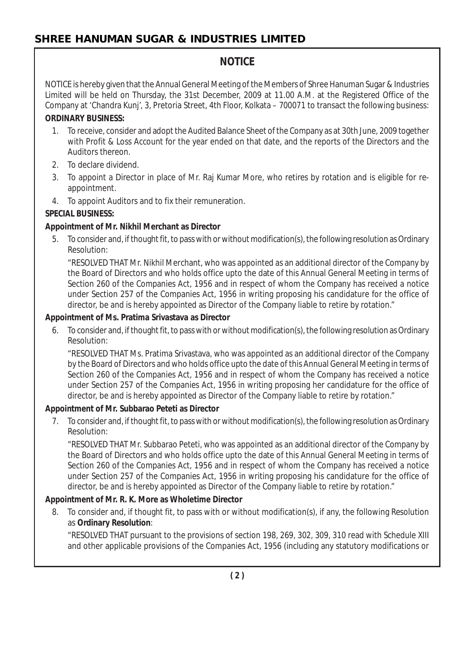# **NOTICE**

NOTICE is hereby given that the Annual General Meeting of the Members of Shree Hanuman Sugar & Industries Limited will be held on Thursday, the 31st December, 2009 at 11.00 A.M. at the Registered Office of the Company at 'Chandra Kunj', 3, Pretoria Street, 4th Floor, Kolkata – 700071 to transact the following business:

# **ORDINARY BUSINESS:**

- 1. To receive, consider and adopt the Audited Balance Sheet of the Company as at 30th June, 2009 together with Profit & Loss Account for the year ended on that date, and the reports of the Directors and the Auditors thereon.
- 2. To declare dividend.
- 3. To appoint a Director in place of Mr. Raj Kumar More, who retires by rotation and is eligible for reappointment.
- 4. To appoint Auditors and to fix their remuneration.

# **SPECIAL BUSINESS:**

# **Appointment of Mr. Nikhil Merchant as Director**

5. To consider and, if thought fit, to pass with or without modification(s), the following resolution as Ordinary Resolution:

"RESOLVED THAT Mr. Nikhil Merchant, who was appointed as an additional director of the Company by the Board of Directors and who holds office upto the date of this Annual General Meeting in terms of Section 260 of the Companies Act, 1956 and in respect of whom the Company has received a notice under Section 257 of the Companies Act, 1956 in writing proposing his candidature for the office of director, be and is hereby appointed as Director of the Company liable to retire by rotation."

## **Appointment of Ms. Pratima Srivastava as Director**

6. To consider and, if thought fit, to pass with or without modification(s), the following resolution as Ordinary Resolution:

"RESOLVED THAT Ms. Pratima Srivastava, who was appointed as an additional director of the Company by the Board of Directors and who holds office upto the date of this Annual General Meeting in terms of Section 260 of the Companies Act, 1956 and in respect of whom the Company has received a notice under Section 257 of the Companies Act, 1956 in writing proposing her candidature for the office of director, be and is hereby appointed as Director of the Company liable to retire by rotation."

# **Appointment of Mr. Subbarao Peteti as Director**

7. To consider and, if thought fit, to pass with or without modification(s), the following resolution as Ordinary Resolution:

"RESOLVED THAT Mr. Subbarao Peteti, who was appointed as an additional director of the Company by the Board of Directors and who holds office upto the date of this Annual General Meeting in terms of Section 260 of the Companies Act, 1956 and in respect of whom the Company has received a notice under Section 257 of the Companies Act, 1956 in writing proposing his candidature for the office of director, be and is hereby appointed as Director of the Company liable to retire by rotation."

# **Appointment of Mr. R. K. More as Wholetime Director**

8. To consider and, if thought fit, to pass with or without modification(s), if any, the following Resolution as **Ordinary Resolution**:

"RESOLVED THAT pursuant to the provisions of section 198, 269, 302, 309, 310 read with Schedule XIII and other applicable provisions of the Companies Act, 1956 (including any statutory modifications or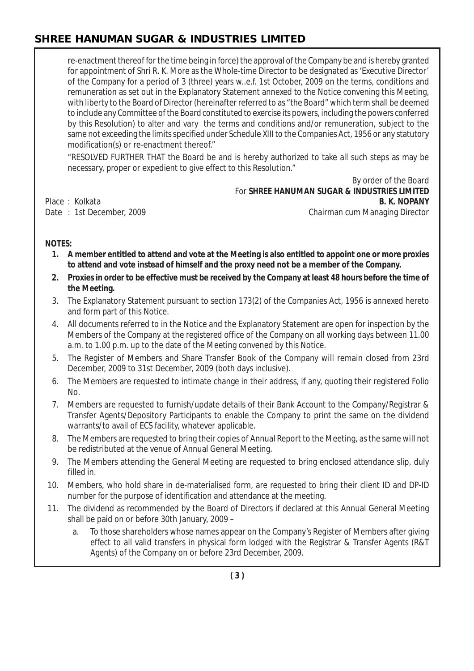re-enactment thereof for the time being in force) the approval of the Company be and is hereby granted for appointment of Shri R. K. More as the Whole-time Director to be designated as 'Executive Director' of the Company for a period of 3 (three) years w..e.f. 1st October, 2009 on the terms, conditions and remuneration as set out in the Explanatory Statement annexed to the Notice convening this Meeting, with liberty to the Board of Director (hereinafter referred to as "the Board" which term shall be deemed to include any Committee of the Board constituted to exercise its powers, including the powers conferred by this Resolution) to alter and vary the terms and conditions and/or remuneration, subject to the same not exceeding the limits specified under Schedule XIII to the Companies Act, 1956 or any statutory modification(s) or re-enactment thereof."

"RESOLVED FURTHER THAT the Board be and is hereby authorized to take all such steps as may be necessary, proper or expedient to give effect to this Resolution."

By order of the Board For **SHREE HANUMAN SUGAR & INDUSTRIES LIMITED** Place : Kolkata **B. K. NOPANY** Date : 1st December, 2009 **Chairman cum Managing Director** 

**NOTES:**

- **1. A member entitled to attend and vote at the Meeting is also entitled to appoint one or more proxies to attend and vote instead of himself and the proxy need not be a member of the Company.**
- **2. Proxies in order to be effective must be received by the Company at least 48 hours before the time of the Meeting.**
- 3. The Explanatory Statement pursuant to section 173(2) of the Companies Act, 1956 is annexed hereto and form part of this Notice.
- 4. All documents referred to in the Notice and the Explanatory Statement are open for inspection by the Members of the Company at the registered office of the Company on all working days between 11.00 a.m. to 1.00 p.m. up to the date of the Meeting convened by this Notice.
- 5. The Register of Members and Share Transfer Book of the Company will remain closed from 23rd December, 2009 to 31st December, 2009 (both days inclusive).
- 6. The Members are requested to intimate change in their address, if any, quoting their registered Folio No.
- 7. Members are requested to furnish/update details of their Bank Account to the Company/Registrar & Transfer Agents/Depository Participants to enable the Company to print the same on the dividend warrants/to avail of ECS facility, whatever applicable.
- 8. The Members are requested to bring their copies of Annual Report to the Meeting, as the same will not be redistributed at the venue of Annual General Meeting.
- 9. The Members attending the General Meeting are requested to bring enclosed attendance slip, duly filled in.
- 10. Members, who hold share in de-materialised form, are requested to bring their client ID and DP-ID number for the purpose of identification and attendance at the meeting.
- 11. The dividend as recommended by the Board of Directors if declared at this Annual General Meeting shall be paid on or before 30th January, 2009 –
	- a. To those shareholders whose names appear on the Company's Register of Members after giving effect to all valid transfers in physical form lodged with the Registrar & Transfer Agents (R&T Agents) of the Company on or before 23rd December, 2009.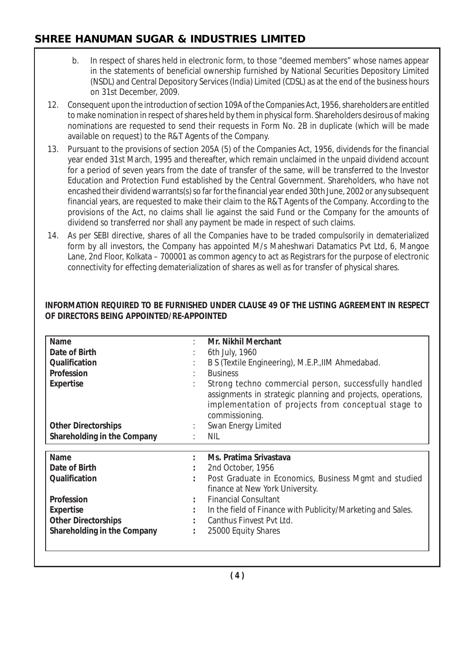- b. In respect of shares held in electronic form, to those "deemed members" whose names appear in the statements of beneficial ownership furnished by National Securities Depository Limited (NSDL) and Central Depository Services (India) Limited (CDSL) as at the end of the business hours on 31st December, 2009.
- 12. Consequent upon the introduction of section 109A of the Companies Act, 1956, shareholders are entitled to make nomination in respect of shares held by them in physical form. Shareholders desirous of making nominations are requested to send their requests in Form No. 2B in duplicate (which will be made available on request) to the R&T Agents of the Company.
- 13. Pursuant to the provisions of section 205A (5) of the Companies Act, 1956, dividends for the financial year ended 31st March, 1995 and thereafter, which remain unclaimed in the unpaid dividend account for a period of seven years from the date of transfer of the same, will be transferred to the Investor Education and Protection Fund established by the Central Government. Shareholders, who have not encashed their dividend warrants(s) so far for the financial year ended 30th June, 2002 or any subsequent financial years, are requested to make their claim to the R&T Agents of the Company. According to the provisions of the Act, no claims shall lie against the said Fund or the Company for the amounts of dividend so transferred nor shall any payment be made in respect of such claims.
- 14. As per SEBI directive, shares of all the Companies have to be traded compulsorily in dematerialized form by all investors, the Company has appointed M/s Maheshwari Datamatics Pvt Ltd, 6, Mangoe Lane, 2nd Floor, Kolkata – 700001 as common agency to act as Registrars for the purpose of electronic connectivity for effecting dematerialization of shares as well as for transfer of physical shares.

#### **INFORMATION REQUIRED TO BE FURNISHED UNDER CLAUSE 49 OF THE LISTING AGREEMENT IN RESPECT OF DIRECTORS BEING APPOINTED/RE-APPOINTED**

| <b>Name</b>                 | <b>Mr. Nikhil Merchant</b>                                                                                                                                                                    |
|-----------------------------|-----------------------------------------------------------------------------------------------------------------------------------------------------------------------------------------------|
| Date of Birth               | 6th July, 1960                                                                                                                                                                                |
| Qualification               | B S (Textile Engineering), M.E.P., IIM Ahmedabad.                                                                                                                                             |
| Profession                  | <b>Business</b>                                                                                                                                                                               |
| <b>Expertise</b>            | Strong techno commercial person, successfully handled<br>assignments in strategic planning and projects, operations,<br>implementation of projects from conceptual stage to<br>commissioning. |
| <b>Other Directorships</b>  | Swan Energy Limited                                                                                                                                                                           |
| Shareholding in the Company | NIL.                                                                                                                                                                                          |
|                             |                                                                                                                                                                                               |
|                             |                                                                                                                                                                                               |
| Name                        | Ms. Pratima Srivastava                                                                                                                                                                        |
| Date of Birth               | 2nd October, 1956                                                                                                                                                                             |
| Qualification               | Post Graduate in Economics, Business Mgmt and studied<br>finance at New York University.                                                                                                      |
| Profession                  | <b>Financial Consultant</b>                                                                                                                                                                   |
| <b>Expertise</b>            | In the field of Finance with Publicity/Marketing and Sales.                                                                                                                                   |
| <b>Other Directorships</b>  | Canthus Finvest Pyt Ltd.                                                                                                                                                                      |
| Shareholding in the Company | 25000 Equity Shares                                                                                                                                                                           |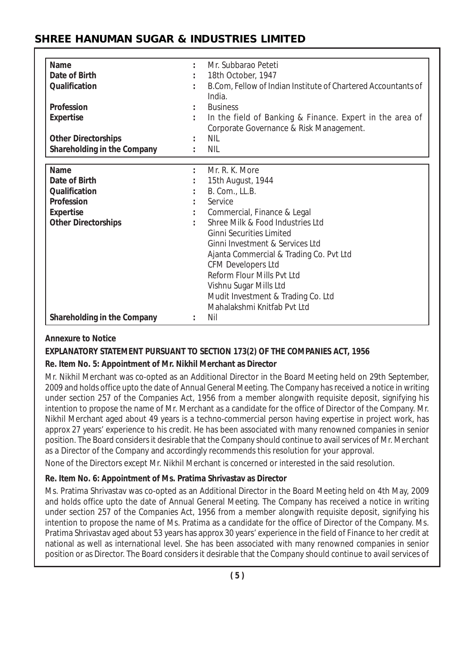| <b>Name</b>                 |                      | Mr. Subbarao Peteti                                                     |
|-----------------------------|----------------------|-------------------------------------------------------------------------|
| Date of Birth               |                      | 18th October, 1947                                                      |
| Qualification               |                      | B.Com, Fellow of Indian Institute of Chartered Accountants of<br>India. |
| Profession                  |                      | <b>Business</b>                                                         |
| <b>Expertise</b>            | $\ddot{\phantom{a}}$ | In the field of Banking & Finance. Expert in the area of                |
|                             |                      | Corporate Governance & Risk Management.                                 |
| <b>Other Directorships</b>  |                      | NIL                                                                     |
| Shareholding in the Company | $\ddot{\phantom{a}}$ | <b>NIL</b>                                                              |
|                             |                      |                                                                         |
| <b>Name</b>                 | ÷                    | Mr. R. K. More                                                          |
| Date of Birth               |                      | 15th August, 1944                                                       |
| Qualification               |                      | B. Com., LL.B.                                                          |
| Profession                  |                      | Service                                                                 |
| <b>Expertise</b>            |                      | Commercial, Finance & Legal                                             |
| <b>Other Directorships</b>  |                      | Shree Milk & Food Industries Ltd                                        |
|                             |                      | <b>Ginni Securities Limited</b>                                         |
|                             |                      | Ginni Investment & Services Ltd                                         |
|                             |                      | Ajanta Commercial & Trading Co. Pvt Ltd                                 |
|                             |                      | <b>CFM Developers Ltd</b>                                               |
|                             |                      | Reform Flour Mills Pvt Ltd                                              |
|                             |                      | Vishnu Sugar Mills Ltd                                                  |
|                             |                      | Mudit Investment & Trading Co. Ltd                                      |
|                             |                      | Mahalakshmi Knitfab Pyt Ltd                                             |
| Shareholding in the Company |                      | Nil                                                                     |

#### **Annexure to Notice**

## **EXPLANATORY STATEMENT PURSUANT TO SECTION 173(2) OF THE COMPANIES ACT, 1956**

#### **Re. Item No. 5: Appointment of Mr. Nikhil Merchant as Director**

Mr. Nikhil Merchant was co-opted as an Additional Director in the Board Meeting held on 29th September, 2009 and holds office upto the date of Annual General Meeting. The Company has received a notice in writing under section 257 of the Companies Act, 1956 from a member alongwith requisite deposit, signifying his intention to propose the name of Mr. Merchant as a candidate for the office of Director of the Company. Mr. Nikhil Merchant aged about 49 years is a techno-commercial person having expertise in project work, has approx 27 years' experience to his credit. He has been associated with many renowned companies in senior position. The Board considers it desirable that the Company should continue to avail services of Mr. Merchant as a Director of the Company and accordingly recommends this resolution for your approval.

None of the Directors except Mr. Nikhil Merchant is concerned or interested in the said resolution.

#### **Re. Item No. 6: Appointment of Ms. Pratima Shrivastav as Director**

Ms. Pratima Shrivastav was co-opted as an Additional Director in the Board Meeting held on 4th May, 2009 and holds office upto the date of Annual General Meeting. The Company has received a notice in writing under section 257 of the Companies Act, 1956 from a member alongwith requisite deposit, signifying his intention to propose the name of Ms. Pratima as a candidate for the office of Director of the Company. Ms. Pratima Shrivastav aged about 53 years has approx 30 years' experience in the field of Finance to her credit at national as well as international level. She has been associated with many renowned companies in senior position or as Director. The Board considers it desirable that the Company should continue to avail services of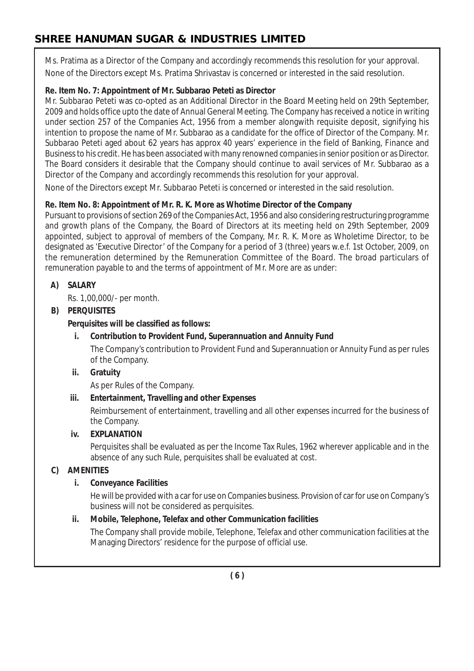Ms. Pratima as a Director of the Company and accordingly recommends this resolution for your approval. None of the Directors except Ms. Pratima Shrivastav is concerned or interested in the said resolution.

## **Re. Item No. 7: Appointment of Mr. Subbarao Peteti as Director**

Mr. Subbarao Peteti was co-opted as an Additional Director in the Board Meeting held on 29th September, 2009 and holds office upto the date of Annual General Meeting. The Company has received a notice in writing under section 257 of the Companies Act, 1956 from a member alongwith requisite deposit, signifying his intention to propose the name of Mr. Subbarao as a candidate for the office of Director of the Company. Mr. Subbarao Peteti aged about 62 years has approx 40 years' experience in the field of Banking, Finance and Business to his credit. He has been associated with many renowned companies in senior position or as Director. The Board considers it desirable that the Company should continue to avail services of Mr. Subbarao as a Director of the Company and accordingly recommends this resolution for your approval.

None of the Directors except Mr. Subbarao Peteti is concerned or interested in the said resolution.

## **Re. Item No. 8: Appointment of Mr. R. K. More as Whotime Director of the Company**

Pursuant to provisions of section 269 of the Companies Act, 1956 and also considering restructuring programme and growth plans of the Company, the Board of Directors at its meeting held on 29th September, 2009 appointed, subject to approval of members of the Company, Mr. R. K. More as Wholetime Director, to be designated as 'Executive Director' of the Company for a period of 3 (three) years w.e.f. 1st October, 2009, on the remuneration determined by the Remuneration Committee of the Board. The broad particulars of remuneration payable to and the terms of appointment of Mr. More are as under:

## **A) SALARY**

Rs. 1,00,000/- per month.

## **B) PERQUISITES**

**Perquisites will be classified as follows:**

## **i. Contribution to Provident Fund, Superannuation and Annuity Fund**

The Company's contribution to Provident Fund and Superannuation or Annuity Fund as per rules of the Company.

## **ii. Gratuity**

As per Rules of the Company.

# **iii. Entertainment, Travelling and other Expenses**

Reimbursement of entertainment, travelling and all other expenses incurred for the business of the Company.

## **iv. EXPLANATION**

Perquisites shall be evaluated as per the Income Tax Rules, 1962 wherever applicable and in the absence of any such Rule, perquisites shall be evaluated at cost.

# **C) AMENITIES**

# **i. Conveyance Facilities**

He will be provided with a car for use on Companies business. Provision of car for use on Company's business will not be considered as perquisites.

# **ii. Mobile, Telephone, Telefax and other Communication facilities**

The Company shall provide mobile, Telephone, Telefax and other communication facilities at the Managing Directors' residence for the purpose of official use.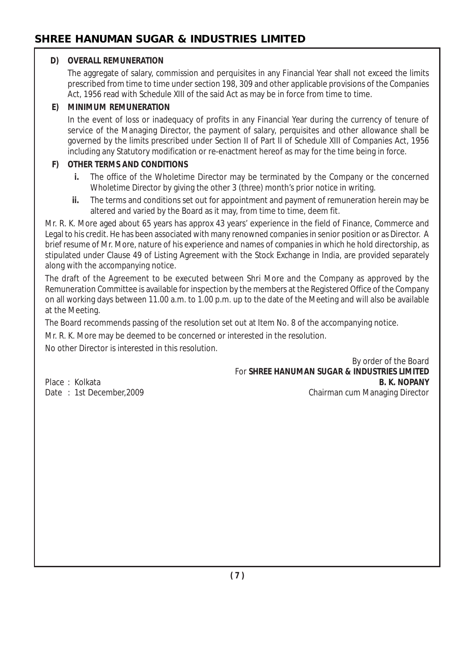#### **D) OVERALL REMUNERATION**

The aggregate of salary, commission and perquisites in any Financial Year shall not exceed the limits prescribed from time to time under section 198, 309 and other applicable provisions of the Companies Act, 1956 read with Schedule XIII of the said Act as may be in force from time to time.

#### **E) MINIMUM REMUNERATION**

In the event of loss or inadequacy of profits in any Financial Year during the currency of tenure of service of the Managing Director, the payment of salary, perquisites and other allowance shall be governed by the limits prescribed under Section II of Part II of Schedule XIII of Companies Act, 1956 including any Statutory modification or re-enactment hereof as may for the time being in force.

#### **F) OTHER TERMS AND CONDITIONS**

- **i.** The office of the Wholetime Director may be terminated by the Company or the concerned Wholetime Director by giving the other 3 (three) month's prior notice in writing.
- **ii.** The terms and conditions set out for appointment and payment of remuneration herein may be altered and varied by the Board as it may, from time to time, deem fit.

Mr. R. K. More aged about 65 years has approx 43 years' experience in the field of Finance, Commerce and Legal to his credit. He has been associated with many renowned companies in senior position or as Director. A brief resume of Mr. More, nature of his experience and names of companies in which he hold directorship, as stipulated under Clause 49 of Listing Agreement with the Stock Exchange in India, are provided separately along with the accompanying notice.

The draft of the Agreement to be executed between Shri More and the Company as approved by the Remuneration Committee is available for inspection by the members at the Registered Office of the Company on all working days between 11.00 a.m. to 1.00 p.m. up to the date of the Meeting and will also be available at the Meeting.

The Board recommends passing of the resolution set out at Item No. 8 of the accompanying notice.

Mr. R. K. More may be deemed to be concerned or interested in the resolution.

No other Director is interested in this resolution.

By order of the Board For **SHREE HANUMAN SUGAR & INDUSTRIES LIMITED** Place : Kolkata **B. K. NOPANY** Date : 1st December,2009 Chairman cum Managing Director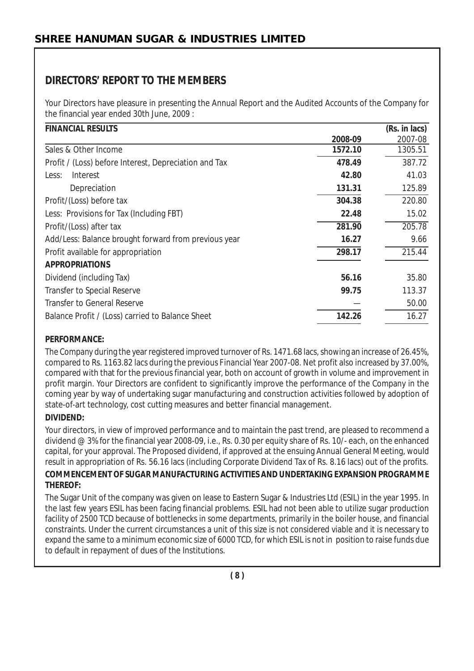# **DIRECTORS' REPORT TO THE MEMBERS**

Your Directors have pleasure in presenting the Annual Report and the Audited Accounts of the Company for the financial year ended 30th June, 2009 :

| <b>FINANCIAL RESULTS</b>                              |         | (Rs. in lacs) |
|-------------------------------------------------------|---------|---------------|
|                                                       | 2008-09 | 2007-08       |
| Sales & Other Income                                  | 1572.10 | 1305.51       |
| Profit / (Loss) before Interest, Depreciation and Tax | 478.49  | 387.72        |
| Interest<br>Less:                                     | 42.80   | 41.03         |
| Depreciation                                          | 131.31  | 125.89        |
| Profit/(Loss) before tax                              | 304.38  | 220.80        |
| Less: Provisions for Tax (Including FBT)              | 22.48   | 15.02         |
| Profit/(Loss) after tax                               | 281.90  | 205.78        |
| Add/Less: Balance brought forward from previous year  | 16.27   | 9.66          |
| Profit available for appropriation                    | 298.17  | 215.44        |
| <b>APPROPRIATIONS</b>                                 |         |               |
| Dividend (including Tax)                              | 56.16   | 35.80         |
| Transfer to Special Reserve                           | 99.75   | 113.37        |
| Transfer to General Reserve                           |         | 50.00         |
| Balance Profit / (Loss) carried to Balance Sheet      | 142.26  | 16.27         |

#### **PERFORMANCE:**

The Company during the year registered improved turnover of Rs. 1471.68 lacs, showing an increase of 26.45%, compared to Rs. 1163.82 lacs during the previous Financial Year 2007-08. Net profit also increased by 37.00%, compared with that for the previous financial year, both on account of growth in volume and improvement in profit margin. Your Directors are confident to significantly improve the performance of the Company in the coming year by way of undertaking sugar manufacturing and construction activities followed by adoption of state-of-art technology, cost cutting measures and better financial management.

## **DIVIDEND:**

Your directors, in view of improved performance and to maintain the past trend, are pleased to recommend a dividend @ 3% for the financial year 2008-09, i.e., Rs. 0.30 per equity share of Rs. 10/- each, on the enhanced capital, for your approval. The Proposed dividend, if approved at the ensuing Annual General Meeting, would result in appropriation of Rs. 56.16 lacs (including Corporate Dividend Tax of Rs. 8.16 lacs) out of the profits.

#### **COMMENCEMENT OF SUGAR MANUFACTURING ACTIVITIES AND UNDERTAKING EXPANSION PROGRAMME THEREOF:**

The Sugar Unit of the company was given on lease to Eastern Sugar & Industries Ltd (ESIL) in the year 1995. In the last few years ESIL has been facing financial problems. ESIL had not been able to utilize sugar production facility of 2500 TCD because of bottlenecks in some departments, primarily in the boiler house, and financial constraints. Under the current circumstances a unit of this size is not considered viable and it is necessary to expand the same to a minimum economic size of 6000 TCD, for which ESIL is not in position to raise funds due to default in repayment of dues of the Institutions.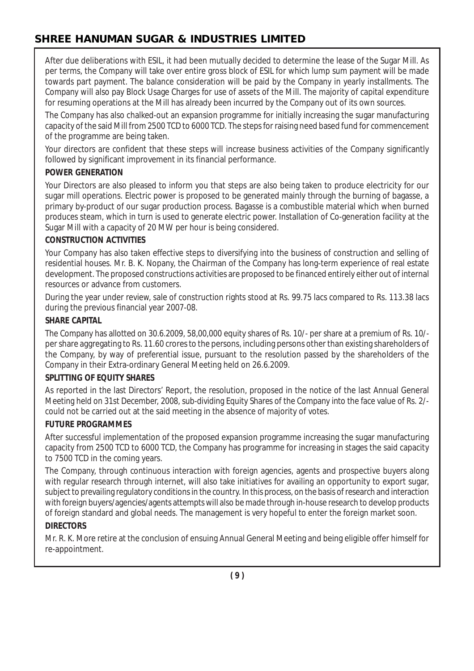After due deliberations with ESIL, it had been mutually decided to determine the lease of the Sugar Mill. As per terms, the Company will take over entire gross block of ESIL for which lump sum payment will be made towards part payment. The balance consideration will be paid by the Company in yearly installments. The Company will also pay Block Usage Charges for use of assets of the Mill. The majority of capital expenditure for resuming operations at the Mill has already been incurred by the Company out of its own sources.

The Company has also chalked-out an expansion programme for initially increasing the sugar manufacturing capacity of the said Mill from 2500 TCD to 6000 TCD. The steps for raising need based fund for commencement of the programme are being taken.

Your directors are confident that these steps will increase business activities of the Company significantly followed by significant improvement in its financial performance.

#### **POWER GENERATION**

Your Directors are also pleased to inform you that steps are also being taken to produce electricity for our sugar mill operations. Electric power is proposed to be generated mainly through the burning of bagasse, a primary by-product of our sugar production process. Bagasse is a combustible material which when burned produces steam, which in turn is used to generate electric power. Installation of Co-generation facility at the Sugar Mill with a capacity of 20 MW per hour is being considered.

#### **CONSTRUCTION ACTIVITIES**

Your Company has also taken effective steps to diversifying into the business of construction and selling of residential houses. Mr. B. K. Nopany, the Chairman of the Company has long-term experience of real estate development. The proposed constructions activities are proposed to be financed entirely either out of internal resources or advance from customers.

During the year under review, sale of construction rights stood at Rs. 99.75 lacs compared to Rs. 113.38 lacs during the previous financial year 2007-08.

#### **SHARE CAPITAL**

The Company has allotted on 30.6.2009, 58,00,000 equity shares of Rs. 10/- per share at a premium of Rs. 10/ per share aggregating to Rs. 11.60 crores to the persons, including persons other than existing shareholders of the Company, by way of preferential issue, pursuant to the resolution passed by the shareholders of the Company in their Extra-ordinary General Meeting held on 26.6.2009.

#### **SPLITTING OF EQUITY SHARES**

As reported in the last Directors' Report, the resolution, proposed in the notice of the last Annual General Meeting held on 31st December, 2008, sub-dividing Equity Shares of the Company into the face value of Rs. 2/ could not be carried out at the said meeting in the absence of majority of votes.

#### **FUTURE PROGRAMMES**

After successful implementation of the proposed expansion programme increasing the sugar manufacturing capacity from 2500 TCD to 6000 TCD, the Company has programme for increasing in stages the said capacity to 7500 TCD in the coming years.

The Company, through continuous interaction with foreign agencies, agents and prospective buyers along with regular research through internet, will also take initiatives for availing an opportunity to export sugar, subject to prevailing regulatory conditions in the country. In this process, on the basis of research and interaction with foreign buyers/agencies/agents attempts will also be made through in-house research to develop products of foreign standard and global needs. The management is very hopeful to enter the foreign market soon.

#### **DIRECTORS**

Mr. R. K. More retire at the conclusion of ensuing Annual General Meeting and being eligible offer himself for re-appointment.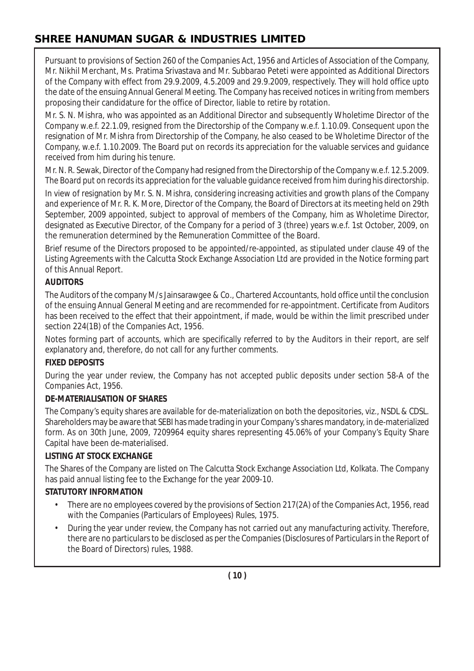Pursuant to provisions of Section 260 of the Companies Act, 1956 and Articles of Association of the Company, Mr. Nikhil Merchant, Ms. Pratima Srivastava and Mr. Subbarao Peteti were appointed as Additional Directors of the Company with effect from 29.9.2009, 4.5.2009 and 29.9.2009, respectively. They will hold office upto the date of the ensuing Annual General Meeting. The Company has received notices in writing from members proposing their candidature for the office of Director, liable to retire by rotation.

Mr. S. N. Mishra, who was appointed as an Additional Director and subsequently Wholetime Director of the Company w.e.f. 22.1.09, resigned from the Directorship of the Company w.e.f. 1.10.09. Consequent upon the resignation of Mr. Mishra from Directorship of the Company, he also ceased to be Wholetime Director of the Company, w.e.f. 1.10.2009. The Board put on records its appreciation for the valuable services and guidance received from him during his tenure.

Mr. N. R. Sewak, Director of the Company had resigned from the Directorship of the Company w.e.f. 12.5.2009. The Board put on records its appreciation for the valuable guidance received from him during his directorship.

In view of resignation by Mr. S. N. Mishra, considering increasing activities and growth plans of the Company and experience of Mr. R. K. More, Director of the Company, the Board of Directors at its meeting held on 29th September, 2009 appointed, subject to approval of members of the Company, him as Wholetime Director, designated as Executive Director, of the Company for a period of 3 (three) years w.e.f. 1st October, 2009, on the remuneration determined by the Remuneration Committee of the Board.

Brief resume of the Directors proposed to be appointed/re-appointed, as stipulated under clause 49 of the Listing Agreements with the Calcutta Stock Exchange Association Ltd are provided in the Notice forming part of this Annual Report.

## **AUDITORS**

The Auditors of the company M/s Jainsarawgee & Co., Chartered Accountants, hold office until the conclusion of the ensuing Annual General Meeting and are recommended for re-appointment. Certificate from Auditors has been received to the effect that their appointment, if made, would be within the limit prescribed under section 224(1B) of the Companies Act, 1956.

Notes forming part of accounts, which are specifically referred to by the Auditors in their report, are self explanatory and, therefore, do not call for any further comments.

## **FIXED DEPOSITS**

During the year under review, the Company has not accepted public deposits under section 58-A of the Companies Act, 1956.

#### **DE-MATERIALISATION OF SHARES**

The Company's equity shares are available for de-materialization on both the depositories, viz., NSDL & CDSL. Shareholders may be aware that SEBI has made trading in your Company's shares mandatory, in de-materialized form. As on 30th June, 2009, 7209964 equity shares representing 45.06% of your Company's Equity Share Capital have been de-materialised.

#### **LISTING AT STOCK EXCHANGE**

The Shares of the Company are listed on The Calcutta Stock Exchange Association Ltd, Kolkata. The Company has paid annual listing fee to the Exchange for the year 2009-10.

## **STATUTORY INFORMATION**

- There are no employees covered by the provisions of Section 217(2A) of the Companies Act, 1956, read with the Companies (Particulars of Employees) Rules, 1975.
- During the year under review, the Company has not carried out any manufacturing activity. Therefore, there are no particulars to be disclosed as per the Companies (Disclosures of Particulars in the Report of the Board of Directors) rules, 1988.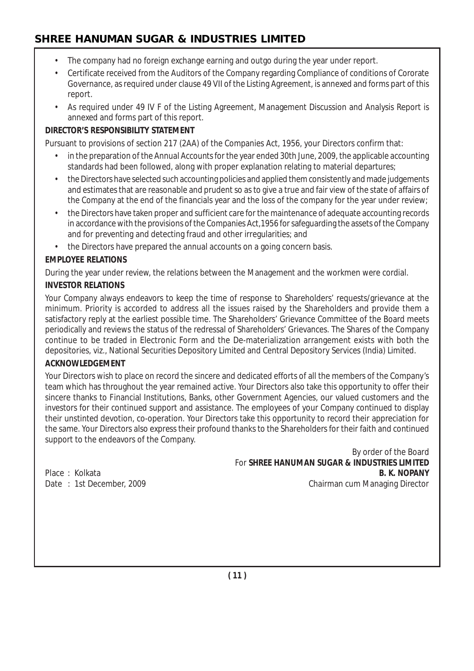- The company had no foreign exchange earning and outgo during the year under report.
- Certificate received from the Auditors of the Company regarding Compliance of conditions of Cororate Governance, as required under clause 49 VII of the Listing Agreement, is annexed and forms part of this report.
- As required under 49 IV F of the Listing Agreement, Management Discussion and Analysis Report is annexed and forms part of this report.

#### **DIRECTOR'S RESPONSIBILITY STATEMENT**

Pursuant to provisions of section 217 (2AA) of the Companies Act, 1956, your Directors confirm that:

- in the preparation of the Annual Accounts for the year ended 30th June, 2009, the applicable accounting standards had been followed, along with proper explanation relating to material departures;
- the Directors have selected such accounting policies and applied them consistently and made judgements and estimates that are reasonable and prudent so as to give a true and fair view of the state of affairs of the Company at the end of the financials year and the loss of the company for the year under review;
- the Directors have taken proper and sufficient care for the maintenance of adequate accounting records in accordance with the provisions of the Companies Act,1956 for safeguarding the assets of the Company and for preventing and detecting fraud and other irregularities; and
- the Directors have prepared the annual accounts on a going concern basis.

#### **EMPLOYEE RELATIONS**

During the year under review, the relations between the Management and the workmen were cordial.

#### **INVESTOR RELATIONS**

Your Company always endeavors to keep the time of response to Shareholders' requests/grievance at the minimum. Priority is accorded to address all the issues raised by the Shareholders and provide them a satisfactory reply at the earliest possible time. The Shareholders' Grievance Committee of the Board meets periodically and reviews the status of the redressal of Shareholders' Grievances. The Shares of the Company continue to be traded in Electronic Form and the De-materialization arrangement exists with both the depositories, viz., National Securities Depository Limited and Central Depository Services (India) Limited.

#### **ACKNOWLEDGEMENT**

Your Directors wish to place on record the sincere and dedicated efforts of all the members of the Company's team which has throughout the year remained active. Your Directors also take this opportunity to offer their sincere thanks to Financial Institutions, Banks, other Government Agencies, our valued customers and the investors for their continued support and assistance. The employees of your Company continued to display their unstinted devotion, co-operation. Your Directors take this opportunity to record their appreciation for the same. Your Directors also express their profound thanks to the Shareholders for their faith and continued support to the endeavors of the Company.

By order of the Board For **SHREE HANUMAN SUGAR & INDUSTRIES LIMITED** Place : Kolkata **B. K. NOPANY B. K. NOPANY** Date : 1st December, 2009 Chairman cum Managing Director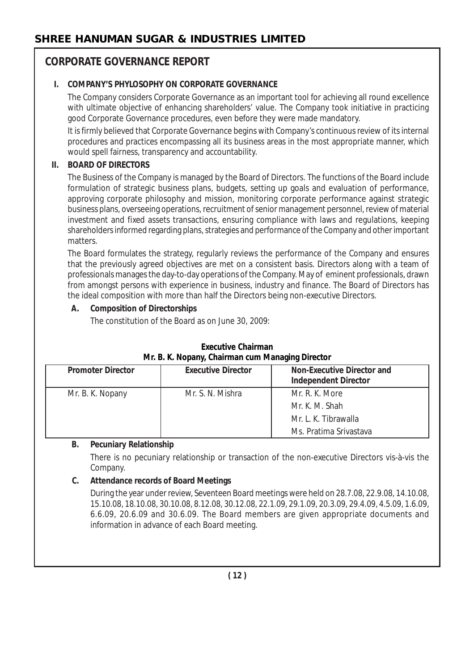# **CORPORATE GOVERNANCE REPORT**

## **I. COMPANY'S PHYLOSOPHY ON CORPORATE GOVERNANCE**

The Company considers Corporate Governance as an important tool for achieving all round excellence with ultimate objective of enhancing shareholders' value. The Company took initiative in practicing good Corporate Governance procedures, even before they were made mandatory.

It is firmly believed that Corporate Governance begins with Company's continuous review of its internal procedures and practices encompassing all its business areas in the most appropriate manner, which would spell fairness, transparency and accountability.

## **II. BOARD OF DIRECTORS**

The Business of the Company is managed by the Board of Directors. The functions of the Board include formulation of strategic business plans, budgets, setting up goals and evaluation of performance, approving corporate philosophy and mission, monitoring corporate performance against strategic business plans, overseeing operations, recruitment of senior management personnel, review of material investment and fixed assets transactions, ensuring compliance with laws and regulations, keeping shareholders informed regarding plans, strategies and performance of the Company and other important matters.

The Board formulates the strategy, regularly reviews the performance of the Company and ensures that the previously agreed objectives are met on a consistent basis. Directors along with a team of professionals manages the day-to-day operations of the Company. May of eminent professionals, drawn from amongst persons with experience in business, industry and finance. The Board of Directors has the ideal composition with more than half the Directors being non-executive Directors.

## **A. Composition of Directorships**

The constitution of the Board as on June 30, 2009:

| TVII. B. K. NODANY, UNAITMAN CUM MANAGHING DIFECTOR |                           |                                                                  |
|-----------------------------------------------------|---------------------------|------------------------------------------------------------------|
| <b>Promoter Director</b>                            | <b>Executive Director</b> | <b>Non-Executive Director and</b><br><b>Independent Director</b> |
| Mr. B. K. Nopany                                    | Mr. S. N. Mishra          | Mr. R. K. More<br>Mr. K. M. Shah                                 |
|                                                     |                           | Mr. L. K. Tibrawalla                                             |
|                                                     |                           | Ms. Pratima Srivastava                                           |

## **Executive Chairman Mr. B. K. Nopany, Chairman cum Managing Director**

## **B. Pecuniary Relationship**

There is no pecuniary relationship or transaction of the non-executive Directors vis-à-vis the Company.

# **C. Attendance records of Board Meetings**

During the year under review, Seventeen Board meetings were held on 28.7.08, 22.9.08, 14.10.08, 15.10.08, 18.10.08, 30.10.08, 8.12.08, 30.12.08, 22.1.09, 29.1.09, 20.3.09, 29.4.09, 4.5.09, 1.6.09, 6.6.09, 20.6.09 and 30.6.09. The Board members are given appropriate documents and information in advance of each Board meeting.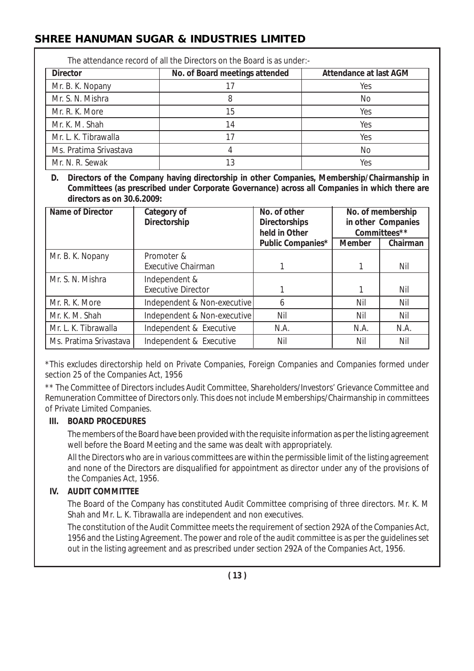| The attendance record of all the Directors on the Board is as under:- |                                |                               |  |  |
|-----------------------------------------------------------------------|--------------------------------|-------------------------------|--|--|
| <b>Director</b>                                                       | No. of Board meetings attended | <b>Attendance at last AGM</b> |  |  |
| Mr. B. K. Nopany                                                      |                                | Yes                           |  |  |
| Mr. S. N. Mishra                                                      |                                | No                            |  |  |
| Mr. R. K. More                                                        | 15                             | Yes                           |  |  |
| Mr. K. M. Shah                                                        | 14                             | Yes                           |  |  |
| Mr. L. K. Tibrawalla                                                  |                                | Yes                           |  |  |
| Ms. Pratima Srivastava                                                |                                | No                            |  |  |
| Mr. N. R. Sewak                                                       | 13                             | Yes                           |  |  |

**D. Directors of the Company having directorship in other Companies, Membership/Chairmanship in Committees (as prescribed under Corporate Governance) across all Companies in which there are directors as on 30.6.2009:**

| Name of Director       | Category of<br>Directorship | No. of other<br><b>Directorships</b> |               | No. of membership<br>in other Companies |
|------------------------|-----------------------------|--------------------------------------|---------------|-----------------------------------------|
|                        |                             | held in Other<br>Public Companies*   | <b>Member</b> | Committees**<br>Chairman                |
| Mr. B. K. Nopany       | Promoter &                  |                                      |               |                                         |
|                        | <b>Executive Chairman</b>   |                                      |               | Nil                                     |
| Mr. S. N. Mishra       | Independent &               |                                      |               |                                         |
|                        | <b>Executive Director</b>   |                                      |               | Nil                                     |
| Mr. R. K. More         | Independent & Non-executive | 6                                    | Nil           | Nil                                     |
| Mr. K. M. Shah         | Independent & Non-executive | Nil                                  | Nil           | Nil                                     |
| Mr. L. K. Tibrawalla   | Independent & Executive     | N.A.                                 | N.A.          | N.A.                                    |
| Ms. Pratima Srivastava | Independent & Executive     | Nil                                  | Nil           | Nil                                     |

\*This excludes directorship held on Private Companies, Foreign Companies and Companies formed under section 25 of the Companies Act, 1956

\*\* The Committee of Directors includes Audit Committee, Shareholders/Investors' Grievance Committee and Remuneration Committee of Directors only. This does not include Memberships/Chairmanship in committees of Private Limited Companies.

#### **III. BOARD PROCEDURES**

The members of the Board have been provided with the requisite information as per the listing agreement well before the Board Meeting and the same was dealt with appropriately.

All the Directors who are in various committees are within the permissible limit of the listing agreement and none of the Directors are disqualified for appointment as director under any of the provisions of the Companies Act, 1956.

## **IV. AUDIT COMMITTEE**

The Board of the Company has constituted Audit Committee comprising of three directors. Mr. K. M Shah and Mr. L. K. Tibrawalla are independent and non executives.

The constitution of the Audit Committee meets the requirement of section 292A of the Companies Act, 1956 and the Listing Agreement. The power and role of the audit committee is as per the guidelines set out in the listing agreement and as prescribed under section 292A of the Companies Act, 1956.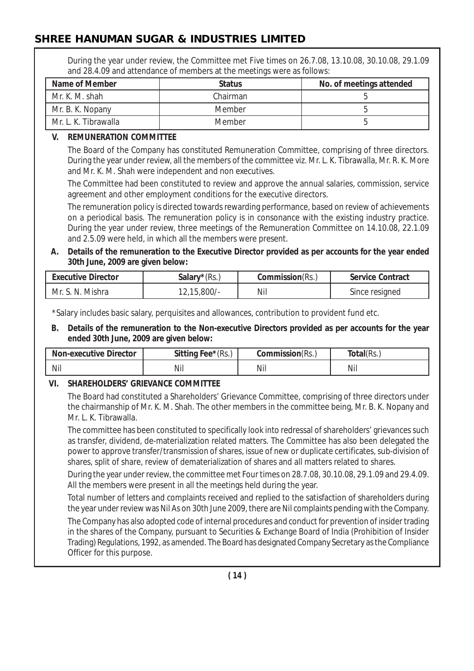During the year under review, the Committee met Five times on 26.7.08, 13.10.08, 30.10.08, 29.1.09 and 28.4.09 and attendance of members at the meetings were as follows:

| Name of Member       | <b>Status</b> | No. of meetings attended |
|----------------------|---------------|--------------------------|
| Mr. K. M. shah       | Chairman      |                          |
| Mr. B. K. Nopany     | <b>Member</b> |                          |
| Mr. L. K. Tibrawalla | <b>Member</b> |                          |

#### **V. REMUNERATION COMMITTEE**

The Board of the Company has constituted Remuneration Committee, comprising of three directors. During the year under review, all the members of the committee viz. Mr. L. K. Tibrawalla, Mr. R. K. More and Mr. K. M. Shah were independent and non executives.

The Committee had been constituted to review and approve the annual salaries, commission, service agreement and other employment conditions for the executive directors.

The remuneration policy is directed towards rewarding performance, based on review of achievements on a periodical basis. The remuneration policy is in consonance with the existing industry practice. During the year under review, three meetings of the Remuneration Committee on 14.10.08, 22.1.09 and 2.5.09 were held, in which all the members were present.

**A. Details of the remuneration to the Executive Director provided as per accounts for the year ended 30th June, 2009 are given below:**

| <b>Executive Director</b> | <b>Salary</b> $*(Rs.,$ | <b>Commission</b> (Rs., | <b>Service Contract</b> |
|---------------------------|------------------------|-------------------------|-------------------------|
| Mr. S. N. Mishra          | $12,15,800/$ -         | Nil                     | Since resigned          |

\*Salary includes basic salary, perquisites and allowances, contribution to provident fund etc.

**B. Details of the remuneration to the Non-executive Directors provided as per accounts for the year ended 30th June, 2009 are given below:**

| <b>Non-executive Director</b> | Sitting Fee*(Rs., | Commission(Rs., | Total(Rs. |
|-------------------------------|-------------------|-----------------|-----------|
| Nil                           | Nil               | Nil             | Nil       |

## **VI. SHAREHOLDERS' GRIEVANCE COMMITTEE**

The Board had constituted a Shareholders' Grievance Committee, comprising of three directors under the chairmanship of Mr. K. M. Shah. The other members in the committee being, Mr. B. K. Nopany and Mr. L. K. Tibrawalla.

The committee has been constituted to specifically look into redressal of shareholders' grievances such as transfer, dividend, de-materialization related matters. The Committee has also been delegated the power to approve transfer/transmission of shares, issue of new or duplicate certificates, sub-division of shares, split of share, review of dematerialization of shares and all matters related to shares.

During the year under review, the committee met Four times on 28.7.08, 30.10.08, 29.1.09 and 29.4.09. All the members were present in all the meetings held during the year.

Total number of letters and complaints received and replied to the satisfaction of shareholders during the year under review was Nil As on 30th June 2009, there are Nil complaints pending with the Company.

The Company has also adopted code of internal procedures and conduct for prevention of insider trading in the shares of the Company, pursuant to Securities & Exchange Board of India (Prohibition of Insider Trading) Regulations, 1992, as amended. The Board has designated Company Secretary as the Compliance Officer for this purpose.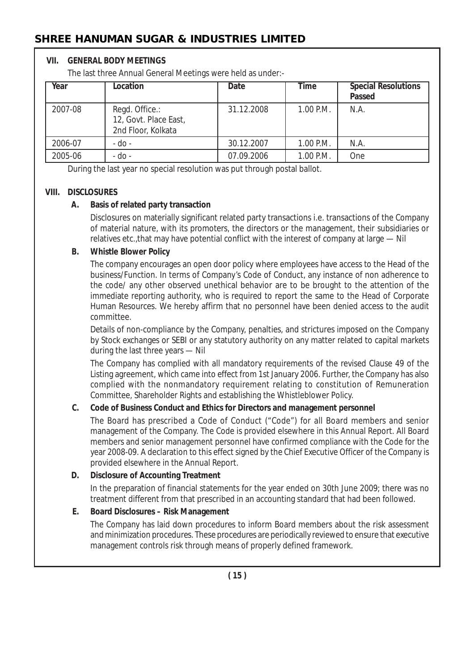#### **VII. GENERAL BODY MEETINGS**

The last three Annual General Meetings were held as under:-

| Year    | Location                                                      | Date       | <b>Time</b> | <b>Special Resolutions</b><br>Passed |
|---------|---------------------------------------------------------------|------------|-------------|--------------------------------------|
| 2007-08 | Regd. Office.:<br>12, Govt. Place East,<br>2nd Floor, Kolkata | 31.12.2008 | 1.00 P.M.   | N.A.                                 |
| 2006-07 | - do -                                                        | 30.12.2007 | 1.00 P.M.   | N.A.                                 |
| 2005-06 | - do -                                                        | 07.09.2006 | 1.00 P.M.   | One                                  |

During the last year no special resolution was put through postal ballot.

#### **VIII. DISCLOSURES**

#### **A. Basis of related party transaction**

Disclosures on materially significant related party transactions i.e. transactions of the Company of material nature, with its promoters, the directors or the management, their subsidiaries or relatives etc.,that may have potential conflict with the interest of company at large — Nil

#### **B. Whistle Blower Policy**

The company encourages an open door policy where employees have access to the Head of the business/Function. In terms of Company's Code of Conduct, any instance of non adherence to the code/ any other observed unethical behavior are to be brought to the attention of the immediate reporting authority, who is required to report the same to the Head of Corporate Human Resources. We hereby affirm that no personnel have been denied access to the audit committee.

Details of non-compliance by the Company, penalties, and strictures imposed on the Company by Stock exchanges or SEBI or any statutory authority on any matter related to capital markets during the last three years — Nil

The Company has complied with all mandatory requirements of the revised Clause 49 of the Listing agreement, which came into effect from 1st January 2006. Further, the Company has also complied with the nonmandatory requirement relating to constitution of Remuneration Committee, Shareholder Rights and establishing the Whistleblower Policy.

## **C. Code of Business Conduct and Ethics for Directors and management personnel**

The Board has prescribed a Code of Conduct ("Code") for all Board members and senior management of the Company. The Code is provided elsewhere in this Annual Report. All Board members and senior management personnel have confirmed compliance with the Code for the year 2008-09. A declaration to this effect signed by the Chief Executive Officer of the Company is provided elsewhere in the Annual Report.

## **D. Disclosure of Accounting Treatment**

In the preparation of financial statements for the year ended on 30th June 2009; there was no treatment different from that prescribed in an accounting standard that had been followed.

## **E. Board Disclosures – Risk Management**

The Company has laid down procedures to inform Board members about the risk assessment and minimization procedures. These procedures are periodically reviewed to ensure that executive management controls risk through means of properly defined framework.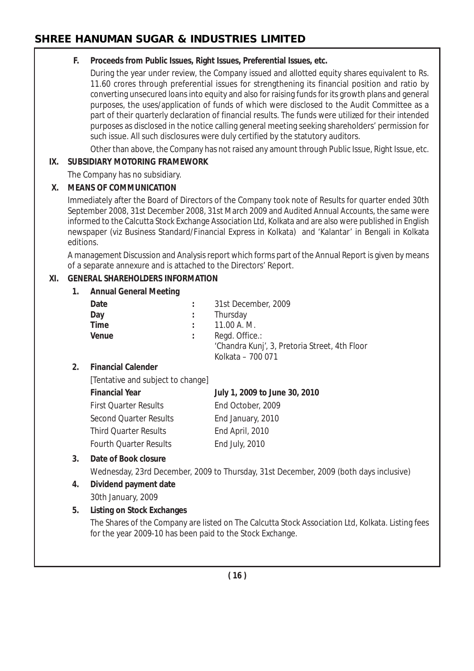## **F. Proceeds from Public Issues, Right Issues, Preferential Issues, etc.**

During the year under review, the Company issued and allotted equity shares equivalent to Rs. 11.60 crores through preferential issues for strengthening its financial position and ratio by converting unsecured loans into equity and also for raising funds for its growth plans and general purposes, the uses/application of funds of which were disclosed to the Audit Committee as a part of their quarterly declaration of financial results. The funds were utilized for their intended purposes as disclosed in the notice calling general meeting seeking shareholders' permission for such issue. All such disclosures were duly certified by the statutory auditors.

Other than above, the Company has not raised any amount through Public Issue, Right Issue, etc.

## **IX. SUBSIDIARY MOTORING FRAMEWORK**

The Company has no subsidiary.

## **X. MEANS OF COMMUNICATION**

Immediately after the Board of Directors of the Company took note of Results for quarter ended 30th September 2008, 31st December 2008, 31st March 2009 and Audited Annual Accounts, the same were informed to the Calcutta Stock Exchange Association Ltd, Kolkata and are also were published in English newspaper (viz Business Standard/Financial Express in Kolkata) and 'Kalantar' in Bengali in Kolkata editions.

A management Discussion and Analysis report which forms part of the Annual Report is given by means of a separate annexure and is attached to the Directors' Report.

## **XI. GENERAL SHAREHOLDERS INFORMATION**

# **1. Annual General Meeting**

| Date               | 31st December, 2009                           |
|--------------------|-----------------------------------------------|
| Day                | Thursday                                      |
| Time               | 11.00 A. M.                                   |
| Venue              | Regd. Office.:                                |
|                    | 'Chandra Kunj', 3, Pretoria Street, 4th Floor |
|                    | Kolkata - 700 071                             |
| Einancial Calondor |                                               |

## **2. Financial Calender**

[Tentative and subject to change]

| <b>Financial Year</b>         | July 1, 2009 to June 30, 2010 |
|-------------------------------|-------------------------------|
| <b>First Quarter Results</b>  | End October, 2009             |
| Second Quarter Results        | End January, 2010             |
| <b>Third Quarter Results</b>  | End April, 2010               |
| <b>Fourth Quarter Results</b> | End July, 2010                |

# **3. Date of Book closure**

Wednesday, 23rd December, 2009 to Thursday, 31st December, 2009 (both days inclusive)

# **4. Dividend payment date**

30th January, 2009

# **5. Listing on Stock Exchanges**

The Shares of the Company are listed on The Calcutta Stock Association Ltd, Kolkata. Listing fees for the year 2009-10 has been paid to the Stock Exchange.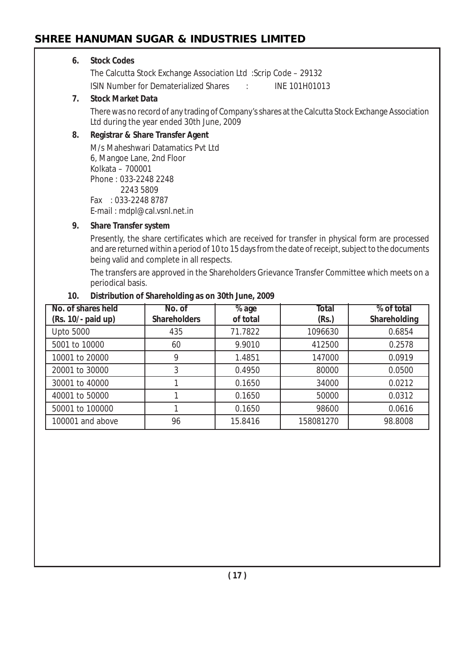#### **6. Stock Codes**

The Calcutta Stock Exchange Association Ltd :Scrip Code – 29132 ISIN Number for Dematerialized Shares : INE 101H01013

#### **7. Stock Market Data**

There was no record of any trading of Company's shares at the Calcutta Stock Exchange Association Ltd during the year ended 30th June, 2009

#### **8. Registrar & Share Transfer Agent**

M/s Maheshwari Datamatics Pvt Ltd 6, Mangoe Lane, 2nd Floor Kolkata – 700001 Phone : 033-2248 2248 2243 5809 Fax : 033-2248 8787 E-mail : mdpl@cal.vsnl.net.in

#### **9. Share Transfer system**

Presently, the share certificates which are received for transfer in physical form are processed and are returned within a period of 10 to 15 days from the date of receipt, subject to the documents being valid and complete in all respects.

The transfers are approved in the Shareholders Grievance Transfer Committee which meets on a periodical basis.

| No. of shares held<br>(Rs. 10/- paid up) | No. of<br><b>Shareholders</b> | $\overline{\%}$ age<br>of total | <b>Total</b><br>(Rs.) | % of total<br>Shareholding |
|------------------------------------------|-------------------------------|---------------------------------|-----------------------|----------------------------|
| <b>Upto 5000</b>                         | 435                           | 71.7822                         | 1096630               | 0.6854                     |
| 5001 to 10000                            | 60                            | 9.9010                          | 412500                | 0.2578                     |
| 10001 to 20000                           | Q                             | 1.4851                          | 147000                | 0.0919                     |
| 20001 to 30000                           |                               | 0.4950                          | 80000                 | 0.0500                     |
| 30001 to 40000                           |                               | 0.1650                          | 34000                 | 0.0212                     |
| 40001 to 50000                           |                               | 0.1650                          | 50000                 | 0.0312                     |
| 50001 to 100000                          |                               | 0.1650                          | 98600                 | 0.0616                     |
| 100001 and above                         | 96                            | 15.8416                         | 158081270             | 98.8008                    |

#### **10. Distribution of Shareholding as on 30th June, 2009**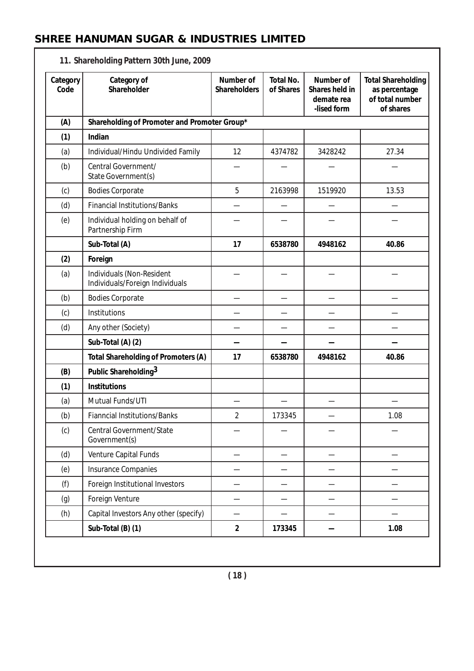| Category<br>Code | Category of<br>Shareholder                                   | Number of<br><b>Shareholders</b> | <b>Total No.</b><br>of Shares | Number of<br>Shares held in<br>demate rea<br>-lised form | <b>Total Shareholding</b><br>as percentage<br>of total number<br>of shares |
|------------------|--------------------------------------------------------------|----------------------------------|-------------------------------|----------------------------------------------------------|----------------------------------------------------------------------------|
| (A)              | Shareholding of Promoter and Promoter Group*                 |                                  |                               |                                                          |                                                                            |
| (1)              | Indian                                                       |                                  |                               |                                                          |                                                                            |
| (a)              | Individual/Hindu Undivided Family                            | 12                               | 4374782                       | 3428242                                                  | 27.34                                                                      |
| (b)              | Central Government/<br>State Government(s)                   |                                  |                               |                                                          |                                                                            |
| (c)              | <b>Bodies Corporate</b>                                      | 5                                | 2163998                       | 1519920                                                  | 13.53                                                                      |
| (d)              | <b>Financial Institutions/Banks</b>                          |                                  |                               |                                                          |                                                                            |
| (e)              | Individual holding on behalf of<br>Partnership Firm          |                                  |                               |                                                          |                                                                            |
|                  | Sub-Total (A)                                                | 17                               | 6538780                       | 4948162                                                  | 40.86                                                                      |
| (2)              | Foreign                                                      |                                  |                               |                                                          |                                                                            |
| (a)              | Individuals (Non-Resident<br>Individuals/Foreign Individuals |                                  |                               |                                                          |                                                                            |
| (b)              | <b>Bodies Corporate</b>                                      |                                  |                               |                                                          |                                                                            |
| (c)              | Institutions                                                 |                                  |                               |                                                          |                                                                            |
| (d)              | Any other (Society)                                          |                                  |                               |                                                          |                                                                            |
|                  | Sub-Total (A) (2)                                            |                                  |                               |                                                          |                                                                            |
|                  | Total Shareholding of Promoters (A)                          | 17                               | 6538780                       | 4948162                                                  | 40.86                                                                      |
| (B)              | Public Shareholding <sup>3</sup>                             |                                  |                               |                                                          |                                                                            |
| (1)              | <b>Institutions</b>                                          |                                  |                               |                                                          |                                                                            |
| (a)              | Mutual Funds/UTI                                             |                                  |                               |                                                          |                                                                            |
| (b)              | <b>Fianncial Institutions/Banks</b>                          | $\overline{2}$                   | 173345                        |                                                          | 1.08                                                                       |
| (c)              | Central Government/State<br>Government(s)                    |                                  |                               |                                                          |                                                                            |
| (d)              | Venture Capital Funds                                        |                                  |                               |                                                          |                                                                            |
| (e)              | Insurance Companies                                          |                                  |                               |                                                          |                                                                            |
| (f)              | Foreign Institutional Investors                              |                                  |                               |                                                          |                                                                            |
| (g)              | Foreign Venture                                              |                                  |                               |                                                          |                                                                            |
| (h)              | Capital Investors Any other (specify)                        |                                  |                               |                                                          |                                                                            |
|                  | Sub-Total (B) (1)                                            | $\overline{2}$                   | 173345                        |                                                          | 1.08                                                                       |

#### **11. Shareholding Pattern 30th June, 2009**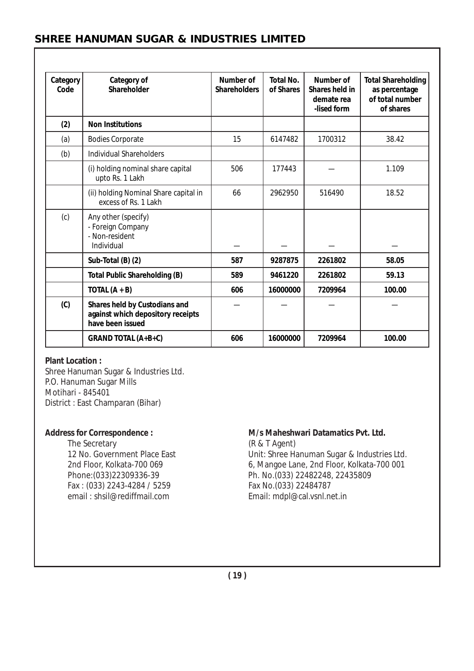| Category<br>Code | Category of<br>Shareholder                                                             | Number of<br><b>Shareholders</b> | <b>Total No.</b><br>of Shares | Number of<br>Shares held in<br>demate rea<br>-lised form | <b>Total Shareholding</b><br>as percentage<br>of total number<br>of shares |
|------------------|----------------------------------------------------------------------------------------|----------------------------------|-------------------------------|----------------------------------------------------------|----------------------------------------------------------------------------|
| (2)              | <b>Non Institutions</b>                                                                |                                  |                               |                                                          |                                                                            |
| (a)              | <b>Bodies Corporate</b>                                                                | 15                               | 6147482                       | 1700312                                                  | 38.42                                                                      |
| (b)              | <b>Individual Shareholders</b>                                                         |                                  |                               |                                                          |                                                                            |
|                  | (i) holding nominal share capital<br>upto Rs. 1 Lakh                                   | 506                              | 177443                        |                                                          | 1.109                                                                      |
|                  | (ii) holding Nominal Share capital in<br>excess of Rs. 1 Lakh                          | 66                               | 2962950                       | 516490                                                   | 18.52                                                                      |
| (c)              | Any other (specify)<br>- Foreign Company<br>- Non-resident<br>Individual               |                                  |                               |                                                          |                                                                            |
|                  | Sub-Total (B) (2)                                                                      | 587                              | 9287875                       | 2261802                                                  | 58.05                                                                      |
|                  | <b>Total Public Shareholding (B)</b>                                                   | 589                              | 9461220                       | 2261802                                                  | 59.13                                                                      |
|                  | TOTAL $(A + B)$                                                                        | 606                              | 16000000                      | 7209964                                                  | 100.00                                                                     |
| (C)              | Shares held by Custodians and<br>against which depository receipts<br>have been issued |                                  |                               |                                                          |                                                                            |
|                  | <b>GRAND TOTAL (A+B+C)</b>                                                             | 606                              | 16000000                      | 7209964                                                  | 100.00                                                                     |

#### **Plant Location :**

Shree Hanuman Sugar & Industries Ltd. P.O. Hanuman Sugar Mills Motihari - 845401 District : East Champaran (Bihar)

The Secretary (R & T Agent)<br>12 No. Government Place East (In the Milt: Shree Hast) Fax : (033) 2243-4284 / 5259<br>email : shsil@rediffmail.com

#### Address for Correspondence : M/s Maheshwari Datamatics Pvt. Ltd.

Unit: Shree Hanuman Sugar & Industries Ltd. 2nd Floor, Kolkata-700 069 6, Mangoe Lane, 2nd Floor, Kolkata-700 001<br>Phone:(033)22309336-39 6, Mangoe Lane, 22482248, 22435809 Ph. No.(033) 22482248, 22435809<br>Fax No.(033) 22484787 Email: mdpl@cal.vsnl.net.in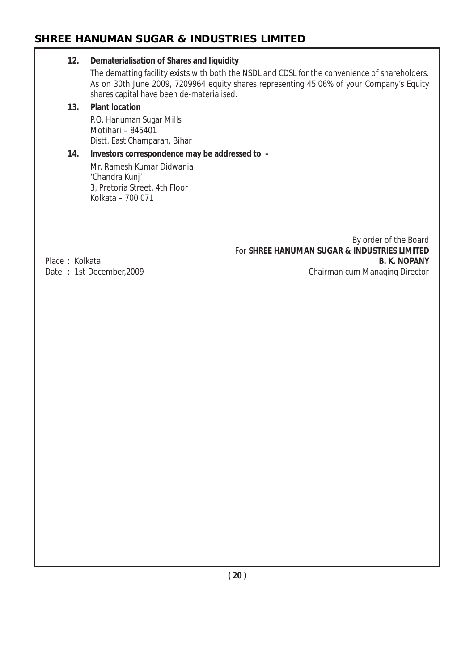#### **12. Dematerialisation of Shares and liquidity**

The dematting facility exists with both the NSDL and CDSL for the convenience of shareholders. As on 30th June 2009, 7209964 equity shares representing 45.06% of your Company's Equity shares capital have been de-materialised.

#### **13. Plant location**

P.O. Hanuman Sugar Mills Motihari – 845401 Distt. East Champaran, Bihar

# **14. Investors correspondence may be addressed to –**

Mr. Ramesh Kumar Didwania 'Chandra Kunj' 3, Pretoria Street, 4th Floor Kolkata – 700 071

By order of the Board For **SHREE HANUMAN SUGAR & INDUSTRIES LIMITED** Date : 1st December, 2009 **Chairman cum Managing Director** 

Place : Kolkata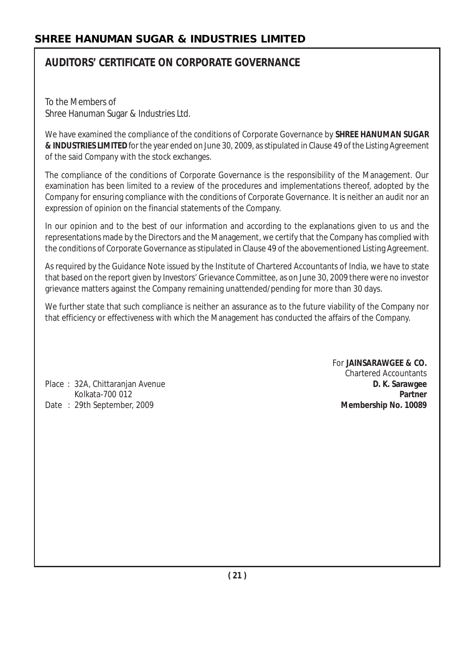# **AUDITORS' CERTIFICATE ON CORPORATE GOVERNANCE**

To the Members of Shree Hanuman Sugar & Industries Ltd.

We have examined the compliance of the conditions of Corporate Governance by **SHREE HANUMAN SUGAR & INDUSTRIES LIMITED** for the year ended on June 30, 2009, as stipulated in Clause 49 of the Listing Agreement of the said Company with the stock exchanges.

The compliance of the conditions of Corporate Governance is the responsibility of the Management. Our examination has been limited to a review of the procedures and implementations thereof, adopted by the Company for ensuring compliance with the conditions of Corporate Governance. It is neither an audit nor an expression of opinion on the financial statements of the Company.

In our opinion and to the best of our information and according to the explanations given to us and the representations made by the Directors and the Management, we certify that the Company has complied with the conditions of Corporate Governance as stipulated in Clause 49 of the abovementioned Listing Agreement.

As required by the Guidance Note issued by the Institute of Chartered Accountants of India, we have to state that based on the report given by Investors' Grievance Committee, as on June 30, 2009 there were no investor grievance matters against the Company remaining unattended/pending for more than 30 days.

We further state that such compliance is neither an assurance as to the future viability of the Company nor that efficiency or effectiveness with which the Management has conducted the affairs of the Company.

Place : 32A, Chittaranjan Avenue **D. K. Sarawgee** Date : 29th September, 2009 **Membership No. 10089**

For **JAINSARAWGEE & CO.** Chartered Accountants Kolkata-700 012 **Partner**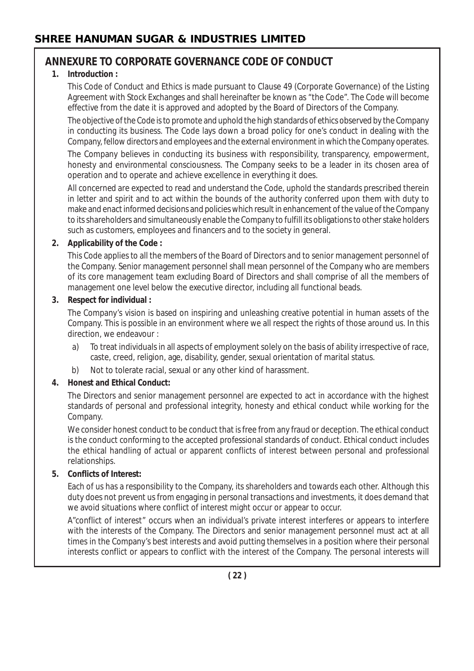# **ANNEXURE TO CORPORATE GOVERNANCE CODE OF CONDUCT**

## **1. Introduction :**

This Code of Conduct and Ethics is made pursuant to Clause 49 (Corporate Governance) of the Listing Agreement with Stock Exchanges and shall hereinafter be known as "the Code". The Code will become effective from the date it is approved and adopted by the Board of Directors of the Company.

The objective of the Code is to promote and uphold the high standards of ethics observed by the Company in conducting its business. The Code lays down a broad policy for one's conduct in dealing with the Company, fellow directors and employees and the external environment in which the Company operates.

The Company believes in conducting its business with responsibility, transparency, empowerment, honesty and environmental consciousness. The Company seeks to be a leader in its chosen area of operation and to operate and achieve excellence in everything it does.

All concerned are expected to read and understand the Code, uphold the standards prescribed therein in letter and spirit and to act within the bounds of the authority conferred upon them with duty to make and enact informed decisions and policies which result in enhancement of the value of the Company to its shareholders and simultaneously enable the Company to fulfill its obligations to other stake holders such as customers, employees and financers and to the society in general.

## **2. Applicability of the Code :**

This Code applies to all the members of the Board of Directors and to senior management personnel of the Company. Senior management personnel shall mean personnel of the Company who are members of its core management team excluding Board of Directors and shall comprise of all the members of management one level below the executive director, including all functional beads.

## **3. Respect for individual :**

The Company's vision is based on inspiring and unleashing creative potential in human assets of the Company. This is possible in an environment where we all respect the rights of those around us. In this direction, we endeavour :

- a) To treat individuals in all aspects of employment solely on the basis of ability irrespective of race, caste, creed, religion, age, disability, gender, sexual orientation of marital status.
- b) Not to tolerate racial, sexual or any other kind of harassment.

## **4. Honest and Ethical Conduct:**

The Directors and senior management personnel are expected to act in accordance with the highest standards of personal and professional integrity, honesty and ethical conduct while working for the Company.

We consider honest conduct to be conduct that is free from any fraud or deception. The ethical conduct is the conduct conforming to the accepted professional standards of conduct. Ethical conduct includes the ethical handling of actual or apparent conflicts of interest between personal and professional relationships.

## **5. Conflicts of Interest:**

Each of us has a responsibility to the Company, its shareholders and towards each other. Although this duty does not prevent us from engaging in personal transactions and investments, it does demand that we avoid situations where conflict of interest might occur or appear to occur.

A"conflict of interest" occurs when an individual's private interest interferes or appears to interfere with the interests of the Company. The Directors and senior management personnel must act at all times in the Company's best interests and avoid putting themselves in a position where their personal interests conflict or appears to conflict with the interest of the Company. The personal interests will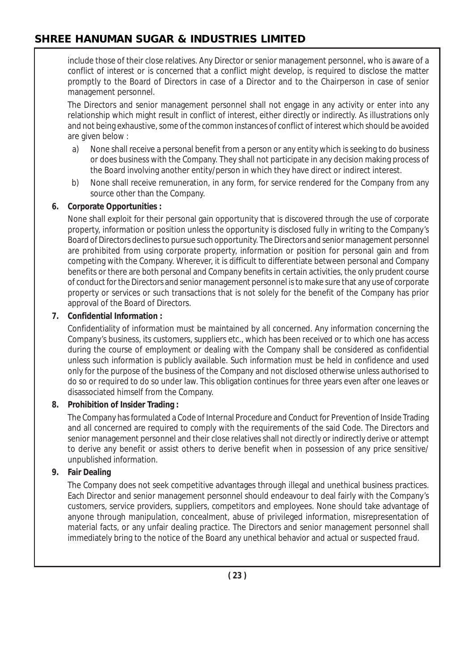include those of their close relatives. Any Director or senior management personnel, who is aware of a conflict of interest or is concerned that a conflict might develop, is required to disclose the matter promptly to the Board of Directors in case of a Director and to the Chairperson in case of senior management personnel.

The Directors and senior management personnel shall not engage in any activity or enter into any relationship which might result in conflict of interest, either directly or indirectly. As illustrations only and not being exhaustive, some of the common instances of conflict of interest which should be avoided are given below :

- a) None shall receive a personal benefit from a person or any entity which is seeking to do business or does business with the Company. They shall not participate in any decision making process of the Board involving another entity/person in which they have direct or indirect interest.
- b) None shall receive remuneration, in any form, for service rendered for the Company from any source other than the Company.

#### **6. Corporate Opportunities :**

None shall exploit for their personal gain opportunity that is discovered through the use of corporate property, information or position unless the opportunity is disclosed fully in writing to the Company's Board of Directors declines to pursue such opportunity. The Directors and senior management personnel are prohibited from using corporate property, information or position for personal gain and from competing with the Company. Wherever, it is difficult to differentiate between personal and Company benefits or there are both personal and Company benefits in certain activities, the only prudent course of conduct for the Directors and senior management personnel is to make sure that any use of corporate property or services or such transactions that is not solely for the benefit of the Company has prior approval of the Board of Directors.

#### **7. Confidential Information :**

Confidentiality of information must be maintained by all concerned. Any information concerning the Company's business, its customers, suppliers etc., which has been received or to which one has access during the course of employment or dealing with the Company shall be considered as confidential unless such information is publicly available. Such information must be held in confidence and used only for the purpose of the business of the Company and not disclosed otherwise unless authorised to do so or required to do so under law. This obligation continues for three years even after one leaves or disassociated himself from the Company.

## **8. Prohibition of Insider Trading :**

The Company has formulated a Code of Internal Procedure and Conduct for Prevention of Inside Trading and all concerned are required to comply with the requirements of the said Code. The Directors and senior management personnel and their close relatives shall not directly or indirectly derive or attempt to derive any benefit or assist others to derive benefit when in possession of any price sensitive/ unpublished information.

## **9. Fair Dealing**

The Company does not seek competitive advantages through illegal and unethical business practices. Each Director and senior management personnel should endeavour to deal fairly with the Company's customers, service providers, suppliers, competitors and employees. None should take advantage of anyone through manipulation, concealment, abuse of privileged information, misrepresentation of material facts, or any unfair dealing practice. The Directors and senior management personnel shall immediately bring to the notice of the Board any unethical behavior and actual or suspected fraud.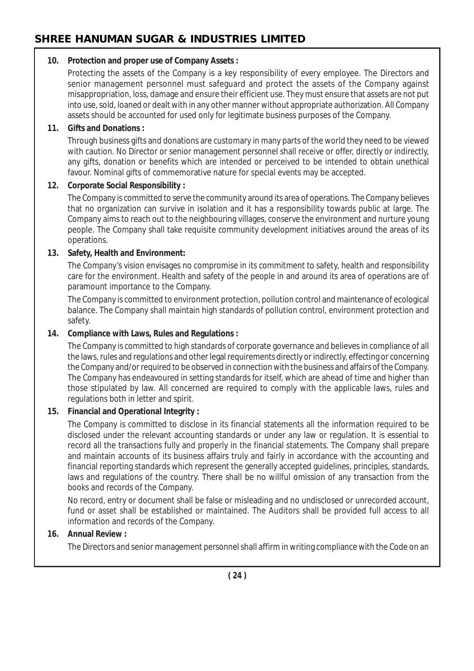#### **10. Protection and proper use of Company Assets :**

Protecting the assets of the Company is a key responsibility of every employee. The Directors and senior management personnel must safeguard and protect the assets of the Company against misappropriation, loss, damage and ensure their efficient use. They must ensure that assets are not put into use, sold, loaned or dealt with in any other manner without appropriate authorization. All Company assets should be accounted for used only for legitimate business purposes of the Company.

#### **11. Gifts and Donations :**

Through business gifts and donations are customary in many parts of the world they need to be viewed with caution. No Director or senior management personnel shall receive or offer, directly or indirectly, any gifts, donation or benefits which are intended or perceived to be intended to obtain unethical favour. Nominal gifts of commemorative nature for special events may be accepted.

#### **12. Corporate Social Responsibility :**

The Company is committed to serve the community around its area of operations. The Company believes that no organization can survive in isolation and it has a responsibility towards public at large. The Company aims to reach out to the neighbouring villages, conserve the environment and nurture young people. The Company shall take requisite community development initiatives around the areas of its operations.

#### **13. Safety, Health and Environment:**

The Company's vision envisages no compromise in its commitment to safety, health and responsibility care for the environment. Health and safety of the people in and around its area of operations are of paramount importance to the Company.

The Company is committed to environment protection, pollution control and maintenance of ecological balance. The Company shall maintain high standards of pollution control, environment protection and safety.

#### **14. Compliance with Laws, Rules and Regulations :**

The Company is committed to high standards of corporate governance and believes in compliance of all the laws, rules and regulations and other legal requirements directly or indirectly, effecting or concerning the Company and/or required to be observed in connection with the business and affairs of the Company. The Company has endeavoured in setting standards for itself, which are ahead of time and higher than those stipulated by law. All concerned are required to comply with the applicable laws, rules and regulations both in letter and spirit.

## **15. Financial and Operational Integrity :**

The Company is committed to disclose in its financial statements all the information required to be disclosed under the relevant accounting standards or under any law or regulation. It is essential to record all the transactions fully and properly in the financial statements. The Company shall prepare and maintain accounts of its business affairs truly and fairly in accordance with the accounting and financial reporting standards which represent the generally accepted guidelines, principles, standards, laws and regulations of the country. There shall be no willful omission of any transaction from the books and records of the Company.

No record, entry or document shall be false or misleading and no undisclosed or unrecorded account, fund or asset shall be established or maintained. The Auditors shall be provided full access to all information and records of the Company.

## **16. Annual Review :**

The Directors and senior management personnel shall affirm in writing compliance with the Code on an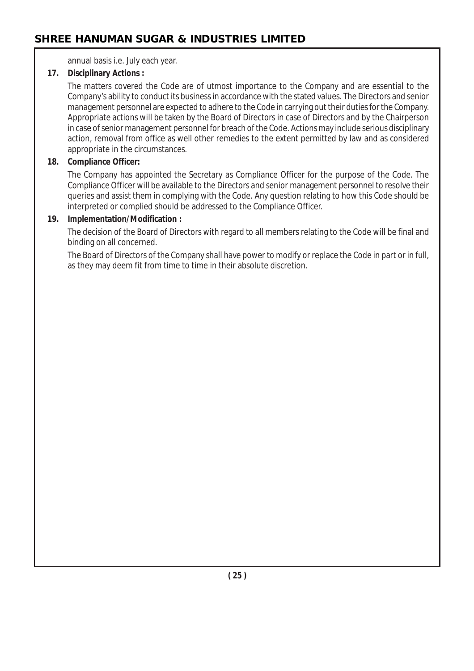annual basis i.e. July each year.

#### **17. Disciplinary Actions :**

The matters covered the Code are of utmost importance to the Company and are essential to the Company's ability to conduct its business in accordance with the stated values. The Directors and senior management personnel are expected to adhere to the Code in carrying out their duties for the Company. Appropriate actions will be taken by the Board of Directors in case of Directors and by the Chairperson in case of senior management personnel for breach of the Code. Actions may include serious disciplinary action, removal from office as well other remedies to the extent permitted by law and as considered appropriate in the circumstances.

#### **18. Compliance Officer:**

The Company has appointed the Secretary as Compliance Officer for the purpose of the Code. The Compliance Officer will be available to the Directors and senior management personnel to resolve their queries and assist them in complying with the Code. Any question relating to how this Code should be interpreted or complied should be addressed to the Compliance Officer.

#### **19. Implementation/Modification :**

The decision of the Board of Directors with regard to all members relating to the Code will be final and binding on all concerned.

The Board of Directors of the Company shall have power to modify or replace the Code in part or in full, as they may deem fit from time to time in their absolute discretion.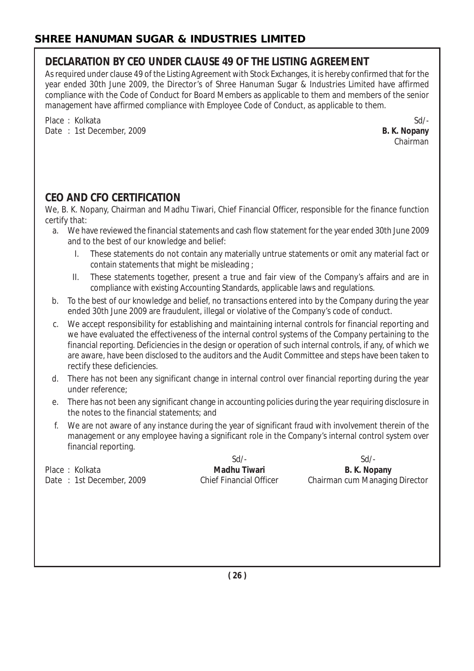# **DECLARATION BY CEO UNDER CLAUSE 49 OF THE LISTING AGREEMENT**

As required under clause 49 of the Listing Agreement with Stock Exchanges, it is hereby confirmed that for the year ended 30th June 2009, the Director's of Shree Hanuman Sugar & Industries Limited have affirmed compliance with the Code of Conduct for Board Members as applicable to them and members of the senior management have affirmed compliance with Employee Code of Conduct, as applicable to them.

Place : Kolkata Sd/-Date : 1st December, 2009 **B. K. Nopany**

Chairman

# **CEO AND CFO CERTIFICATION**

We, B. K. Nopany, Chairman and Madhu Tiwari, Chief Financial Officer, responsible for the finance function certify that:

- a. We have reviewed the financial statements and cash flow statement for the year ended 30th June 2009 and to the best of our knowledge and belief:
	- I. These statements do not contain any materially untrue statements or omit any material fact or contain statements that might be misleading ;
	- II. These statements together, present a true and fair view of the Company's affairs and are in compliance with existing Accounting Standards, applicable laws and regulations.
- b. To the best of our knowledge and belief, no transactions entered into by the Company during the year ended 30th June 2009 are fraudulent, illegal or violative of the Company's code of conduct.
- c. We accept responsibility for establishing and maintaining internal controls for financial reporting and we have evaluated the effectiveness of the internal control systems of the Company pertaining to the financial reporting. Deficiencies in the design or operation of such internal controls, if any, of which we are aware, have been disclosed to the auditors and the Audit Committee and steps have been taken to rectify these deficiencies.
- d. There has not been any significant change in internal control over financial reporting during the year under reference;
- e. There has not been any significant change in accounting policies during the year requiring disclosure in the notes to the financial statements; and
- f. We are not aware of any instance during the year of significant fraud with involvement therein of the management or any employee having a significant role in the Company's internal control system over financial reporting.

Place : Kolkata **Madhu Tiwari B. K. Nopany B. K. Nopany** 

Sd/- Sd/-

Date : 1st December, 2009 Chief Financial Officer Chairman cum Managing Director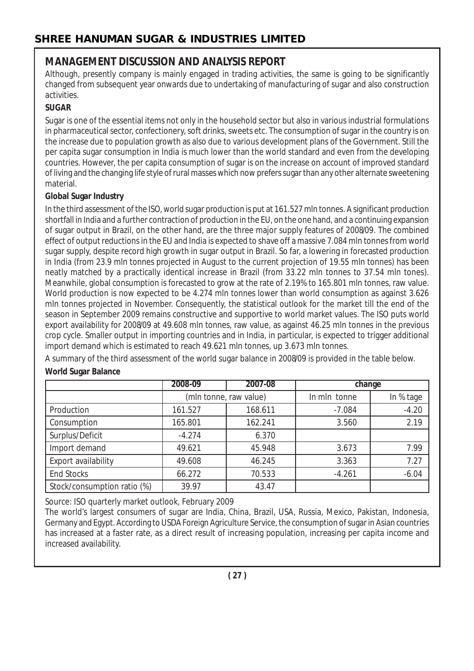# **MANAGEMENT DISCUSSION AND ANALYSIS REPORT**

Although, presently company is mainly engaged in trading activities, the same is going to be significantly changed from subsequent year onwards due to undertaking of manufacturing of sugar and also construction activities.

# **SUGAR**

Sugar is one of the essential items not only in the household sector but also in various industrial formulations in pharmaceutical sector, confectionery, soft drinks, sweets etc. The consumption of sugar in the country is on the increase due to population growth as also due to various development plans of the Government. Still the per capita sugar consumption in India is much lower than the world standard and even from the developing countries. However, the per capita consumption of sugar is on the increase on account of improved standard of living and the changing life style of rural masses which now prefers sugar than any other alternate sweetening material.

## **Global Sugar Industry**

In the third assessment of the ISO, world sugar production is put at 161.527 mln tonnes. A significant production shortfall in India and a further contraction of production in the EU, on the one hand, and a continuing expansion of sugar output in Brazil, on the other hand, are the three major supply features of 2008/09. The combined effect of output reductions in the EU and India is expected to shave off a massive 7.084 mln tonnes from world sugar supply, despite record high growth in sugar output in Brazil. So far, a lowering in forecasted production in India (from 23.9 mln tonnes projected in August to the current projection of 19.55 mln tonnes) has been neatly matched by a practically identical increase in Brazil (from 33.22 mln tonnes to 37.54 mln tones). Meanwhile, global consumption is forecasted to grow at the rate of 2.19% to 165.801 mln tonnes, raw value. World production is now expected to be 4.274 mln tonnes lower than world consumption as against 3.626 mln tonnes projected in November. Consequently, the statistical outlook for the market till the end of the season in September 2009 remains constructive and supportive to world market values. The ISO puts world export availability for 2008/09 at 49.608 mln tonnes, raw value, as against 46.25 mln tonnes in the previous crop cycle. Smaller output in importing countries and in India, in particular, is expected to trigger additional import demand which is estimated to reach 49.621 mln tonnes, up 3.673 mln tonnes.

A summary of the third assessment of the world sugar balance in 2008/09 is provided in the table below.

# **World Sugar Balance**

|                             | 2008-09                | 2007-08 | change       |           |
|-----------------------------|------------------------|---------|--------------|-----------|
|                             | (mln tonne, raw value) |         | In mln tonne | In % tage |
| Production                  | 161.527                | 168.611 | $-7.084$     | $-4.20$   |
| Consumption                 | 165.801                | 162.241 | 3.560        | 2.19      |
| Surplus/Deficit             | $-4.274$               | 6.370   |              |           |
| Import demand               | 49.621                 | 45.948  | 3.673        | 7.99      |
| Export availability         | 49.608                 | 46.245  | 3.363        | 7.27      |
| <b>End Stocks</b>           | 66.272                 | 70.533  | $-4.261$     | $-6.04$   |
| Stock/consumption ratio (%) | 39.97                  | 43.47   |              |           |

Source: ISO quarterly market outlook, February 2009

The world's largest consumers of sugar are India, China, Brazil, USA, Russia, Mexico, Pakistan, Indonesia, Germany and Egypt. According to USDA Foreign Agriculture Service, the consumption of sugar in Asian countries has increased at a faster rate, as a direct result of increasing population, increasing per capita income and increased availability.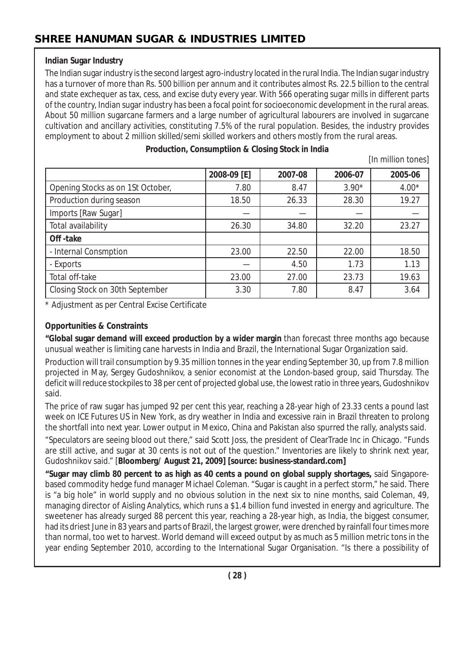#### **Indian Sugar Industry**

The Indian sugar industry is the second largest agro-industry located in the rural India. The Indian sugar industry has a turnover of more than Rs. 500 billion per annum and it contributes almost Rs. 22.5 billion to the central and state exchequer as tax, cess, and excise duty every year. With 566 operating sugar mills in different parts of the country, Indian sugar industry has been a focal point for socioeconomic development in the rural areas. About 50 million sugarcane farmers and a large number of agricultural labourers are involved in sugarcane cultivation and ancillary activities, constituting 7.5% of the rural population. Besides, the industry provides employment to about 2 million skilled/semi skilled workers and others mostly from the rural areas.

|                                   | 2008-09 [E] | 2007-08 | 2006-07 | 2005-06 |
|-----------------------------------|-------------|---------|---------|---------|
| Opening Stocks as on 1St October, | 7.80        | 8.47    | $3.90*$ | $4.00*$ |
| Production during season          | 18.50       | 26.33   | 28.30   | 19.27   |
| Imports [Raw Sugar]               |             |         |         |         |
| Total availability                | 26.30       | 34.80   | 32.20   | 23.27   |
| Off-take                          |             |         |         |         |
| - Internal Consmption             | 23.00       | 22.50   | 22.00   | 18.50   |
| - Exports                         |             | 4.50    | 1.73    | 1.13    |
| Total off-take                    | 23.00       | 27.00   | 23.73   | 19.63   |
| Closing Stock on 30th September   | 3.30        | 7.80    | 8.47    | 3.64    |

#### **Production, Consumptiion & Closing Stock in India**

[In million tones]

\* Adjustment as per Central Excise Certificate

## **Opportunities & Constraints**

**"Global sugar demand will exceed production by a wider margin** than forecast three months ago because unusual weather is limiting cane harvests in India and Brazil, the International Sugar Organization said.

Production will trail consumption by 9.35 million tonnes in the year ending September 30, up from 7.8 million projected in May, Sergey Gudoshnikov, a senior economist at the London-based group, said Thursday. The deficit will reduce stockpiles to 38 per cent of projected global use, the lowest ratio in three years, Gudoshnikov said.

The price of raw sugar has jumped 92 per cent this year, reaching a 28-year high of 23.33 cents a pound last week on ICE Futures US in New York, as dry weather in India and excessive rain in Brazil threaten to prolong the shortfall into next year. Lower output in Mexico, China and Pakistan also spurred the rally, analysts said.

"Speculators are seeing blood out there," said Scott Joss, the president of ClearTrade Inc in Chicago. "Funds are still active, and sugar at 30 cents is not out of the question." Inventories are likely to shrink next year, Gudoshnikov said." [**Bloomberg/ August 21, 2009] [source: business-standard.com]**

**"Sugar may climb 80 percent to as high as 40 cents a pound on global supply shortages,** said Singaporebased commodity hedge fund manager Michael Coleman. "Sugar is caught in a perfect storm," he said. There is "a big hole" in world supply and no obvious solution in the next six to nine months, said Coleman, 49, managing director of Aisling Analytics, which runs a \$1.4 billion fund invested in energy and agriculture. The sweetener has already surged 88 percent this year, reaching a 28-year high, as India, the biggest consumer, had its driest June in 83 years and parts of Brazil, the largest grower, were drenched by rainfall four times more than normal, too wet to harvest. World demand will exceed output by as much as 5 million metric tons in the year ending September 2010, according to the International Sugar Organisation. "Is there a possibility of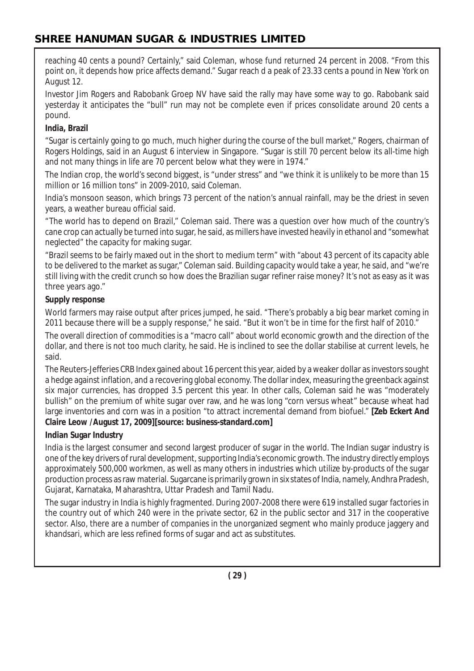reaching 40 cents a pound? Certainly," said Coleman, whose fund returned 24 percent in 2008. "From this point on, it depends how price affects demand." Sugar reach d a peak of 23.33 cents a pound in New York on August 12.

Investor Jim Rogers and Rabobank Groep NV have said the rally may have some way to go. Rabobank said yesterday it anticipates the "bull" run may not be complete even if prices consolidate around 20 cents a pound.

## **India, Brazil**

"Sugar is certainly going to go much, much higher during the course of the bull market," Rogers, chairman of Rogers Holdings, said in an August 6 interview in Singapore. "Sugar is still 70 percent below its all-time high and not many things in life are 70 percent below what they were in 1974."

The Indian crop, the world's second biggest, is "under stress" and "we think it is unlikely to be more than 15 million or 16 million tons" in 2009-2010, said Coleman.

India's monsoon season, which brings 73 percent of the nation's annual rainfall, may be the driest in seven years, a weather bureau official said.

"The world has to depend on Brazil," Coleman said. There was a question over how much of the country's cane crop can actually be turned into sugar, he said, as millers have invested heavily in ethanol and "somewhat neglected" the capacity for making sugar.

"Brazil seems to be fairly maxed out in the short to medium term" with "about 43 percent of its capacity able to be delivered to the market as sugar," Coleman said. Building capacity would take a year, he said, and "we're still living with the credit crunch so how does the Brazilian sugar refiner raise money? It's not as easy as it was three years ago."

#### **Supply response**

World farmers may raise output after prices jumped, he said. "There's probably a big bear market coming in 2011 because there will be a supply response," he said. "But it won't be in time for the first half of 2010."

The overall direction of commodities is a "macro call" about world economic growth and the direction of the dollar, and there is not too much clarity, he said. He is inclined to see the dollar stabilise at current levels, he said.

The Reuters-Jefferies CRB Index gained about 16 percent this year, aided by a weaker dollar as investors sought a hedge against inflation, and a recovering global economy. The dollar index, measuring the greenback against six major currencies, has dropped 3.5 percent this year. In other calls, Coleman said he was "moderately bullish" on the premium of white sugar over raw, and he was long "corn versus wheat" because wheat had large inventories and corn was in a position "to attract incremental demand from biofuel." **[Zeb Eckert And Claire Leow /August 17, 2009][source: business-standard.com]**

## **Indian Sugar Industry**

India is the largest consumer and second largest producer of sugar in the world. The Indian sugar industry is one of the key drivers of rural development, supporting India's economic growth. The industry directly employs approximately 500,000 workmen, as well as many others in industries which utilize by-products of the sugar production process as raw material. Sugarcane is primarily grown in six states of India, namely, Andhra Pradesh, Gujarat, Karnataka, Maharashtra, Uttar Pradesh and Tamil Nadu.

The sugar industry in India is highly fragmented. During 2007-2008 there were 619 installed sugar factories in the country out of which 240 were in the private sector, 62 in the public sector and 317 in the cooperative sector. Also, there are a number of companies in the unorganized segment who mainly produce jaggery and khandsari, which are less refined forms of sugar and act as substitutes.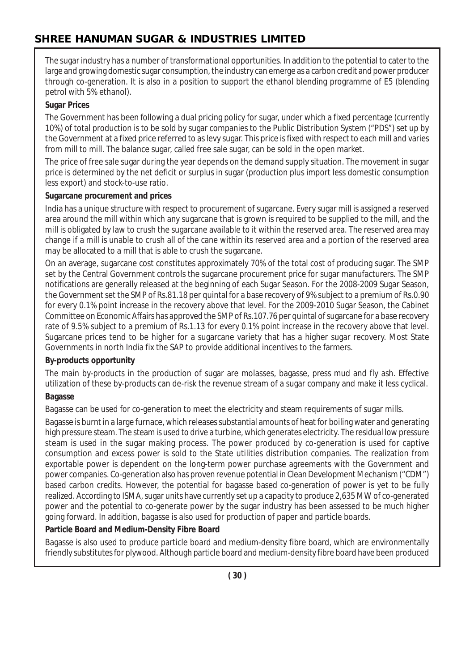The sugar industry has a number of transformational opportunities. In addition to the potential to cater to the large and growing domestic sugar consumption, the industry can emerge as a carbon credit and power producer through co-generation. It is also in a position to support the ethanol blending programme of E5 (blending petrol with 5% ethanol).

#### **Sugar Prices**

The Government has been following a dual pricing policy for sugar, under which a fixed percentage (currently 10%) of total production is to be sold by sugar companies to the Public Distribution System ("PDS") set up by the Government at a fixed price referred to as levy sugar. This price is fixed with respect to each mill and varies from mill to mill. The balance sugar, called free sale sugar, can be sold in the open market.

The price of free sale sugar during the year depends on the demand supply situation. The movement in sugar price is determined by the net deficit or surplus in sugar (production plus import less domestic consumption less export) and stock-to-use ratio.

#### **Sugarcane procurement and prices**

India has a unique structure with respect to procurement of sugarcane. Every sugar mill is assigned a reserved area around the mill within which any sugarcane that is grown is required to be supplied to the mill, and the mill is obligated by law to crush the sugarcane available to it within the reserved area. The reserved area may change if a mill is unable to crush all of the cane within its reserved area and a portion of the reserved area may be allocated to a mill that is able to crush the sugarcane.

On an average, sugarcane cost constitutes approximately 70% of the total cost of producing sugar. The SMP set by the Central Government controls the sugarcane procurement price for sugar manufacturers. The SMP notifications are generally released at the beginning of each Sugar Season. For the 2008-2009 Sugar Season, the Government set the SMP of Rs.81.18 per quintal for a base recovery of 9% subject to a premium of Rs.0.90 for every 0.1% point increase in the recovery above that level. For the 2009-2010 Sugar Season, the Cabinet Committee on Economic Affairs has approved the SMP of Rs.107.76 per quintal of sugarcane for a base recovery rate of 9.5% subject to a premium of Rs.1.13 for every 0.1% point increase in the recovery above that level. Sugarcane prices tend to be higher for a sugarcane variety that has a higher sugar recovery. Most State Governments in north India fix the SAP to provide additional incentives to the farmers.

#### **By-products opportunity**

The main by-products in the production of sugar are molasses, bagasse, press mud and fly ash. Effective utilization of these by-products can de-risk the revenue stream of a sugar company and make it less cyclical.

#### **Bagasse**

Bagasse can be used for co-generation to meet the electricity and steam requirements of sugar mills.

Bagasse is burnt in a large furnace, which releases substantial amounts of heat for boiling water and generating high pressure steam. The steam is used to drive a turbine, which generates electricity. The residual low pressure steam is used in the sugar making process. The power produced by co-generation is used for captive consumption and excess power is sold to the State utilities distribution companies. The realization from exportable power is dependent on the long-term power purchase agreements with the Government and power companies. Co-generation also has proven revenue potential in Clean Development Mechanism ("CDM") based carbon credits. However, the potential for bagasse based co-generation of power is yet to be fully realized. According to ISMA, sugar units have currently set up a capacity to produce 2,635 MW of co-generated power and the potential to co-generate power by the sugar industry has been assessed to be much higher going forward. In addition, bagasse is also used for production of paper and particle boards.

#### **Particle Board and Medium-Density Fibre Board**

Bagasse is also used to produce particle board and medium-density fibre board, which are environmentally friendly substitutes for plywood. Although particle board and medium-density fibre board have been produced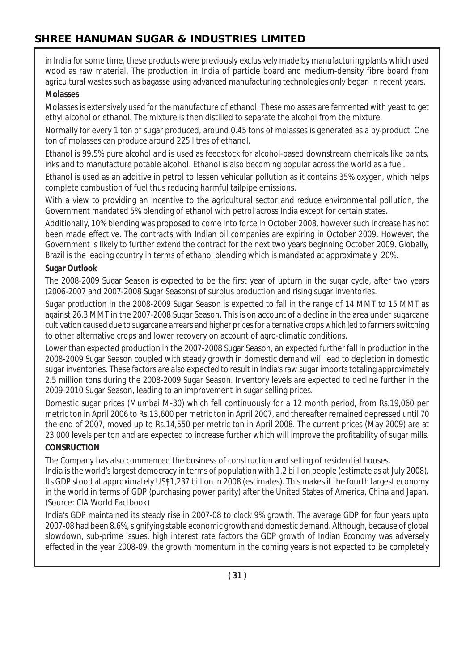in India for some time, these products were previously exclusively made by manufacturing plants which used wood as raw material. The production in India of particle board and medium-density fibre board from agricultural wastes such as bagasse using advanced manufacturing technologies only began in recent years.

#### **Molasses**

Molasses is extensively used for the manufacture of ethanol. These molasses are fermented with yeast to get ethyl alcohol or ethanol. The mixture is then distilled to separate the alcohol from the mixture.

Normally for every 1 ton of sugar produced, around 0.45 tons of molasses is generated as a by-product. One ton of molasses can produce around 225 litres of ethanol.

Ethanol is 99.5% pure alcohol and is used as feedstock for alcohol-based downstream chemicals like paints, inks and to manufacture potable alcohol. Ethanol is also becoming popular across the world as a fuel.

Ethanol is used as an additive in petrol to lessen vehicular pollution as it contains 35% oxygen, which helps complete combustion of fuel thus reducing harmful tailpipe emissions.

With a view to providing an incentive to the agricultural sector and reduce environmental pollution, the Government mandated 5% blending of ethanol with petrol across India except for certain states.

Additionally, 10% blending was proposed to come into force in October 2008, however such increase has not been made effective. The contracts with Indian oil companies are expiring in October 2009. However, the Government is likely to further extend the contract for the next two years beginning October 2009. Globally, Brazil is the leading country in terms of ethanol blending which is mandated at approximately 20%.

#### **Sugar Outlook**

The 2008-2009 Sugar Season is expected to be the first year of upturn in the sugar cycle, after two years (2006-2007 and 2007-2008 Sugar Seasons) of surplus production and rising sugar inventories.

Sugar production in the 2008-2009 Sugar Season is expected to fall in the range of 14 MMT to 15 MMT as against 26.3 MMT in the 2007-2008 Sugar Season. This is on account of a decline in the area under sugarcane cultivation caused due to sugarcane arrears and higher prices for alternative crops which led to farmers switching to other alternative crops and lower recovery on account of agro-climatic conditions.

Lower than expected production in the 2007-2008 Sugar Season, an expected further fall in production in the 2008-2009 Sugar Season coupled with steady growth in domestic demand will lead to depletion in domestic sugar inventories. These factors are also expected to result in India's raw sugar imports totaling approximately 2.5 million tons during the 2008-2009 Sugar Season. Inventory levels are expected to decline further in the 2009-2010 Sugar Season, leading to an improvement in sugar selling prices.

Domestic sugar prices (Mumbai M-30) which fell continuously for a 12 month period, from Rs.19,060 per metric ton in April 2006 to Rs.13,600 per metric ton in April 2007, and thereafter remained depressed until 70 the end of 2007, moved up to Rs.14,550 per metric ton in April 2008. The current prices (May 2009) are at 23,000 levels per ton and are expected to increase further which will improve the profitability of sugar mills.

## **CONSRUCTION**

The Company has also commenced the business of construction and selling of residential houses.

India is the world's largest democracy in terms of population with 1.2 billion people (estimate as at July 2008). Its GDP stood at approximately US\$1,237 billion in 2008 (estimates). This makes it the fourth largest economy in the world in terms of GDP (purchasing power parity) after the United States of America, China and Japan. (Source: CIA World Factbook)

India's GDP maintained its steady rise in 2007-08 to clock 9% growth. The average GDP for four years upto 2007-08 had been 8.6%, signifying stable economic growth and domestic demand. Although, because of global slowdown, sub-prime issues, high interest rate factors the GDP growth of Indian Economy was adversely effected in the year 2008-09, the growth momentum in the coming years is not expected to be completely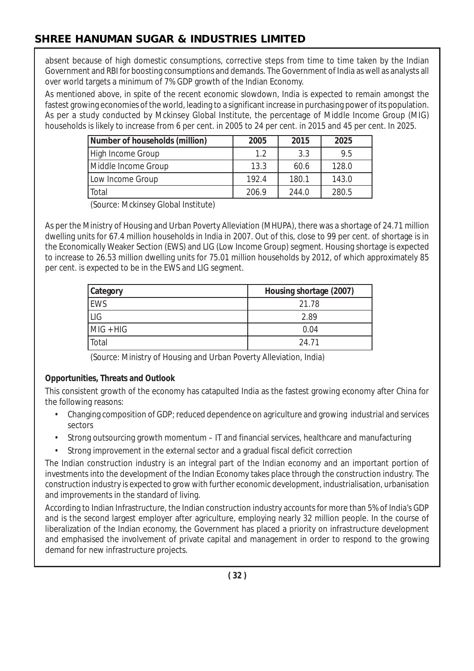absent because of high domestic consumptions, corrective steps from time to time taken by the Indian Government and RBI for boosting consumptions and demands. The Government of India as well as analysts all over world targets a minimum of 7% GDP growth of the Indian Economy.

As mentioned above, in spite of the recent economic slowdown, India is expected to remain amongst the fastest growing economies of the world, leading to a significant increase in purchasing power of its population. As per a study conducted by Mckinsey Global Institute, the percentage of Middle Income Group (MIG) households is likely to increase from 6 per cent. in 2005 to 24 per cent. in 2015 and 45 per cent. In 2025.

| Number of households (million) | 2005  | 2015  | 2025  |
|--------------------------------|-------|-------|-------|
| High Income Group              | 1.2   | 3.3   | 9.5   |
| Middle Income Group            | 13.3  | 60.6  | 128.0 |
| Low Income Group               | 192.4 | 180.1 | 143.0 |
| Total                          | 206.9 | 244.0 | 280.5 |

(Source: Mckinsey Global Institute)

As per the Ministry of Housing and Urban Poverty Alleviation (MHUPA), there was a shortage of 24.71 million dwelling units for 67.4 million households in India in 2007. Out of this, close to 99 per cent. of shortage is in the Economically Weaker Section (EWS) and LIG (Low Income Group) segment. Housing shortage is expected to increase to 26.53 million dwelling units for 75.01 million households by 2012, of which approximately 85 per cent. is expected to be in the EWS and LIG segment.

| <b>Category</b> | Housing shortage (2007) |
|-----------------|-------------------------|
| EWS             | 21.78                   |
| LIG             | 2.89                    |
| $MIG + HIG$     | 0.04                    |
| Total           | 24 71                   |

(Source: Ministry of Housing and Urban Poverty Alleviation, India)

## **Opportunities, Threats and Outlook**

This consistent growth of the economy has catapulted India as the fastest growing economy after China for the following reasons:

- Changing composition of GDP; reduced dependence on agriculture and growing industrial and services sectors
- Strong outsourcing growth momentum IT and financial services, healthcare and manufacturing
- Strong improvement in the external sector and a gradual fiscal deficit correction

The Indian construction industry is an integral part of the Indian economy and an important portion of investments into the development of the Indian Economy takes place through the construction industry. The construction industry is expected to grow with further economic development, industrialisation, urbanisation and improvements in the standard of living.

According to Indian Infrastructure, the Indian construction industry accounts for more than 5% of India's GDP and is the second largest employer after agriculture, employing nearly 32 million people. In the course of liberalization of the Indian economy, the Government has placed a priority on infrastructure development and emphasised the involvement of private capital and management in order to respond to the growing demand for new infrastructure projects.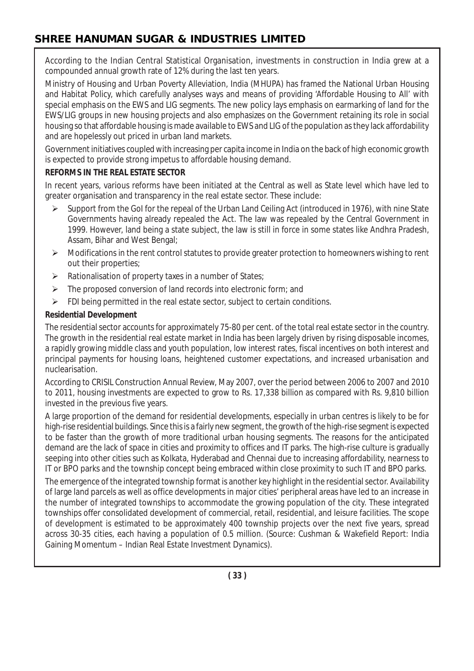According to the Indian Central Statistical Organisation, investments in construction in India grew at a compounded annual growth rate of 12% during the last ten years.

Ministry of Housing and Urban Poverty Alleviation, India (MHUPA) has framed the National Urban Housing and Habitat Policy, which carefully analyses ways and means of providing 'Affordable Housing to All' with special emphasis on the EWS and LIG segments. The new policy lays emphasis on earmarking of land for the EWS/LIG groups in new housing projects and also emphasizes on the Government retaining its role in social housing so that affordable housing is made available to EWS and LIG of the population as they lack affordability and are hopelessly out priced in urban land markets.

Government initiatives coupled with increasing per capita income in India on the back of high economic growth is expected to provide strong impetus to affordable housing demand.

## **REFORMS IN THE REAL ESTATE SECTOR**

In recent years, various reforms have been initiated at the Central as well as State level which have led to greater organisation and transparency in the real estate sector. These include:

- $\triangleright$  Support from the GoI for the repeal of the Urban Land Ceiling Act (introduced in 1976), with nine State Governments having already repealed the Act. The law was repealed by the Central Government in 1999. However, land being a state subject, the law is still in force in some states like Andhra Pradesh, Assam, Bihar and West Bengal;
- $\triangleright$  Modifications in the rent control statutes to provide greater protection to homeowners wishing to rent out their properties;
- $\triangleright$  Rationalisation of property taxes in a number of States;
- $\triangleright$  The proposed conversion of land records into electronic form; and
- $\triangleright$  FDI being permitted in the real estate sector, subject to certain conditions.

## **Residential Development**

The residential sector accounts for approximately 75-80 per cent. of the total real estate sector in the country. The growth in the residential real estate market in India has been largely driven by rising disposable incomes, a rapidly growing middle class and youth population, low interest rates, fiscal incentives on both interest and principal payments for housing loans, heightened customer expectations, and increased urbanisation and nuclearisation.

According to CRISIL Construction Annual Review, May 2007, over the period between 2006 to 2007 and 2010 to 2011, housing investments are expected to grow to Rs. 17,338 billion as compared with Rs. 9,810 billion invested in the previous five years.

A large proportion of the demand for residential developments, especially in urban centres is likely to be for high-rise residential buildings. Since this is a fairly new segment, the growth of the high-rise segment is expected to be faster than the growth of more traditional urban housing segments. The reasons for the anticipated demand are the lack of space in cities and proximity to offices and IT parks. The high-rise culture is gradually seeping into other cities such as Kolkata, Hyderabad and Chennai due to increasing affordability, nearness to IT or BPO parks and the township concept being embraced within close proximity to such IT and BPO parks.

The emergence of the integrated township format is another key highlight in the residential sector. Availability of large land parcels as well as office developments in major cities' peripheral areas have led to an increase in the number of integrated townships to accommodate the growing population of the city. These integrated townships offer consolidated development of commercial, retail, residential, and leisure facilities. The scope of development is estimated to be approximately 400 township projects over the next five years, spread across 30-35 cities, each having a population of 0.5 million. (Source: Cushman & Wakefield Report: India Gaining Momentum – Indian Real Estate Investment Dynamics).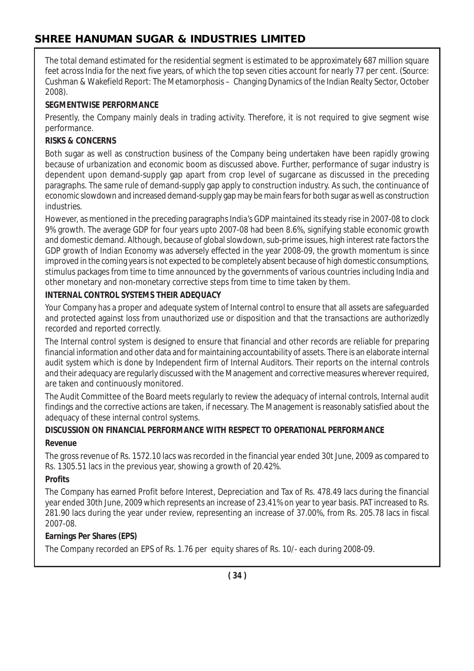The total demand estimated for the residential segment is estimated to be approximately 687 million square feet across India for the next five years, of which the top seven cities account for nearly 77 per cent. (Source: Cushman & Wakefield Report: The Metamorphosis – Changing Dynamics of the Indian Realty Sector, October 2008).

#### **SEGMENTWISE PERFORMANCE**

Presently, the Company mainly deals in trading activity. Therefore, it is not required to give segment wise performance.

#### **RISKS & CONCERNS**

Both sugar as well as construction business of the Company being undertaken have been rapidly growing because of urbanization and economic boom as discussed above. Further, performance of sugar industry is dependent upon demand-supply gap apart from crop level of sugarcane as discussed in the preceding paragraphs. The same rule of demand-supply gap apply to construction industry. As such, the continuance of economic slowdown and increased demand-supply gap may be main fears for both sugar as well as construction industries.

However, as mentioned in the preceding paragraphs India's GDP maintained its steady rise in 2007-08 to clock 9% growth. The average GDP for four years upto 2007-08 had been 8.6%, signifying stable economic growth and domestic demand. Although, because of global slowdown, sub-prime issues, high interest rate factors the GDP growth of Indian Economy was adversely effected in the year 2008-09, the growth momentum is since improved in the coming years is not expected to be completely absent because of high domestic consumptions, stimulus packages from time to time announced by the governments of various countries including India and other monetary and non-monetary corrective steps from time to time taken by them.

#### **INTERNAL CONTROL SYSTEMS THEIR ADEQUACY**

Your Company has a proper and adequate system of Internal control to ensure that all assets are safeguarded and protected against loss from unauthorized use or disposition and that the transactions are authorizedly recorded and reported correctly.

The Internal control system is designed to ensure that financial and other records are reliable for preparing financial information and other data and for maintaining accountability of assets. There is an elaborate internal audit system which is done by Independent firm of Internal Auditors. Their reports on the internal controls and their adequacy are regularly discussed with the Management and corrective measures wherever required, are taken and continuously monitored.

The Audit Committee of the Board meets regularly to review the adequacy of internal controls, Internal audit findings and the corrective actions are taken, if necessary. The Management is reasonably satisfied about the adequacy of these internal control systems.

# **DISCUSSION ON FINANCIAL PERFORMANCE WITH RESPECT TO OPERATIONAL PERFORMANCE**

# **Revenue**

The gross revenue of Rs. 1572.10 lacs was recorded in the financial year ended 30t June, 2009 as compared to Rs. 1305.51 lacs in the previous year, showing a growth of 20.42%.

## **Profits**

The Company has earned Profit before Interest, Depreciation and Tax of Rs. 478.49 lacs during the financial year ended 30th June, 2009 which represents an increase of 23.41% on year to year basis. PAT increased to Rs. 281.90 lacs during the year under review, representing an increase of 37.00%, from Rs. 205.78 lacs in fiscal 2007-08.

## **Earnings Per Shares (EPS)**

The Company recorded an EPS of Rs. 1.76 per equity shares of Rs. 10/- each during 2008-09.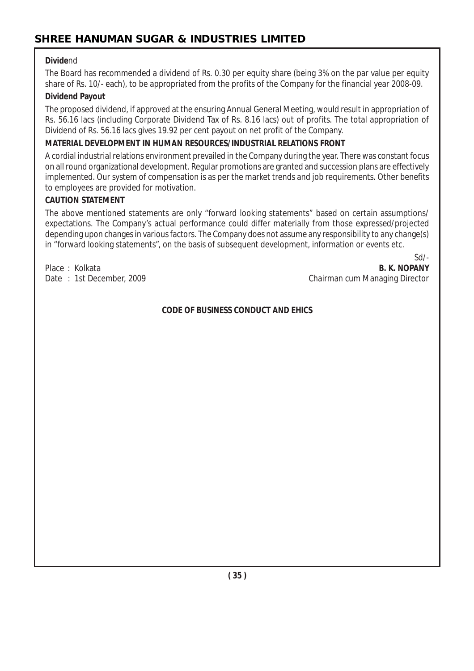#### **Divide**nd

The Board has recommended a dividend of Rs. 0.30 per equity share (being 3% on the par value per equity share of Rs. 10/- each), to be appropriated from the profits of the Company for the financial year 2008-09.

#### **Dividend Payout**

The proposed dividend, if approved at the ensuring Annual General Meeting, would result in appropriation of Rs. 56.16 lacs (including Corporate Dividend Tax of Rs. 8.16 lacs) out of profits. The total appropriation of Dividend of Rs. 56.16 lacs gives 19.92 per cent payout on net profit of the Company.

#### **MATERIAL DEVELOPMENT IN HUMAN RESOURCES/INDUSTRIAL RELATIONS FRONT**

A cordial industrial relations environment prevailed in the Company during the year. There was constant focus on all round organizational development. Regular promotions are granted and succession plans are effectively implemented. Our system of compensation is as per the market trends and job requirements. Other benefits to employees are provided for motivation.

#### **CAUTION STATEMENT**

The above mentioned statements are only "forward looking statements" based on certain assumptions/ expectations. The Company's actual performance could differ materially from those expressed/projected depending upon changes in various factors. The Company does not assume any responsibility to any change(s) in "forward looking statements", on the basis of subsequent development, information or events etc.

Sd/- Place : Kolkata **B. K. NOPANY** Date : 1st December, 2009 Chairman cum Managing Director

#### **CODE OF BUSINESS CONDUCT AND EHICS**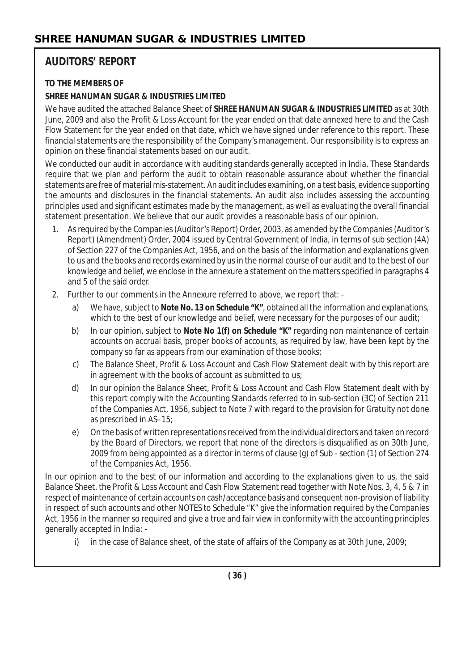# **AUDITORS' REPORT**

## **TO THE MEMBERS OF**

## **SHREE HANUMAN SUGAR & INDUSTRIES LIMITED**

We have audited the attached Balance Sheet of **SHREE HANUMAN SUGAR & INDUSTRIES LIMITED** as at 30th June, 2009 and also the Profit & Loss Account for the year ended on that date annexed here to and the Cash Flow Statement for the year ended on that date, which we have signed under reference to this report. These financial statements are the responsibility of the Company's management. Our responsibility is to express an opinion on these financial statements based on our audit.

We conducted our audit in accordance with auditing standards generally accepted in India. These Standards require that we plan and perform the audit to obtain reasonable assurance about whether the financial statements are free of material mis-statement. An audit includes examining, on a test basis, evidence supporting the amounts and disclosures in the financial statements. An audit also includes assessing the accounting principles used and significant estimates made by the management, as well as evaluating the overall financial statement presentation. We believe that our audit provides a reasonable basis of our opinion.

- 1. As required by the Companies (Auditor's Report) Order, 2003, as amended by the Companies (Auditor's Report) (Amendment) Order, 2004 issued by Central Government of India, in terms of sub section (4A) of Section 227 of the Companies Act, 1956, and on the basis of the information and explanations given to us and the books and records examined by us in the normal course of our audit and to the best of our knowledge and belief, we enclose in the annexure a statement on the matters specified in paragraphs 4 and 5 of the said order.
- 2. Further to our comments in the Annexure referred to above, we report that:
	- a) We have, subject to **Note No. 13 on Schedule "K"**, obtained all the information and explanations, which to the best of our knowledge and belief, were necessary for the purposes of our audit;
	- b) In our opinion, subject to **Note No 1(f) on Schedule "K"** regarding non maintenance of certain accounts on accrual basis, proper books of accounts, as required by law, have been kept by the company so far as appears from our examination of those books;
	- c) The Balance Sheet, Profit & Loss Account and Cash Flow Statement dealt with by this report are in agreement with the books of account as submitted to us;
	- d) In our opinion the Balance Sheet, Profit & Loss Account and Cash Flow Statement dealt with by this report comply with the Accounting Standards referred to in sub-section (3C) of Section 211 of the Companies Act, 1956, subject to Note 7 with regard to the provision for Gratuity not done as prescribed in AS–15;
	- e) On the basis of written representations received from the individual directors and taken on record by the Board of Directors, we report that none of the directors is disqualified as on 30th June, 2009 from being appointed as a director in terms of clause (g) of Sub - section (1) of Section 274 of the Companies Act, 1956.

In our opinion and to the best of our information and according to the explanations given to us, the said Balance Sheet, the Profit & Loss Account and Cash Flow Statement read together with Note Nos. 3, 4, 5 & 7 in respect of maintenance of certain accounts on cash/acceptance basis and consequent non-provision of liability in respect of such accounts and other NOTES to Schedule "K" give the information required by the Companies Act, 1956 in the manner so required and give a true and fair view in conformity with the accounting principles generally accepted in India: -

i) in the case of Balance sheet, of the state of affairs of the Company as at 30th June, 2009;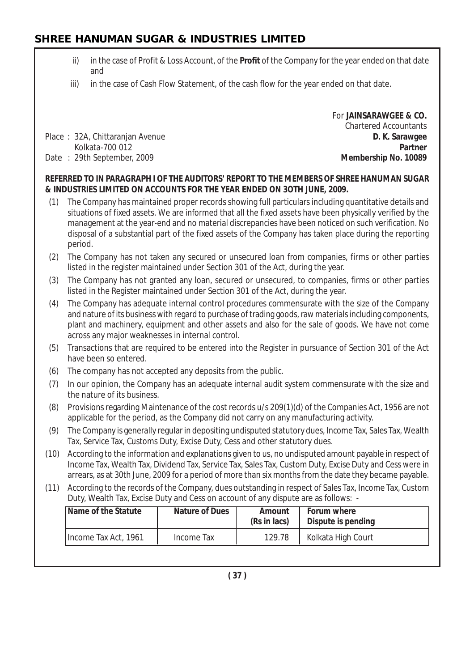- ii) in the case of Profit & Loss Account, of the **Profit** of the Company for the year ended on that date and
- iii) in the case of Cash Flow Statement, of the cash flow for the year ended on that date.

Place : 32A, Chittaranjan Avenue **D. K. Sarawgee**

For **JAINSARAWGEE & CO.** Chartered Accountants Kolkata-700 012 **Partner** Date : 29th September, 2009 **Membership No. 10089**

#### **REFERRED TO IN PARAGRAPH I OF THE AUDITORS' REPORT TO THE MEMBERS OF SHREE HANUMAN SUGAR & INDUSTRIES LIMITED ON ACCOUNTS FOR THE YEAR ENDED ON 3OTH JUNE, 2009.**

- (1) The Company has maintained proper records showing full particulars including quantitative details and situations of fixed assets. We are informed that all the fixed assets have been physically verified by the management at the year-end and no material discrepancies have been noticed on such verification. No disposal of a substantial part of the fixed assets of the Company has taken place during the reporting period.
- (2) The Company has not taken any secured or unsecured loan from companies, firms or other parties listed in the register maintained under Section 301 of the Act, during the year.
- (3) The Company has not granted any loan, secured or unsecured, to companies, firms or other parties listed in the Register maintained under Section 301 of the Act, during the year.
- (4) The Company has adequate internal control procedures commensurate with the size of the Company and nature of its business with regard to purchase of trading goods, raw materials including components, plant and machinery, equipment and other assets and also for the sale of goods. We have not come across any major weaknesses in internal control.
- (5) Transactions that are required to be entered into the Register in pursuance of Section 301 of the Act have been so entered.
- (6) The company has not accepted any deposits from the public.
- (7) In our opinion, the Company has an adequate internal audit system commensurate with the size and the nature of its business.
- (8) Provisions regarding Maintenance of the cost records u/s 209(1)(d) of the Companies Act, 1956 are not applicable for the period, as the Company did not carry on any manufacturing activity.
- (9) The Company is generally regular in depositing undisputed statutory dues, Income Tax, Sales Tax, Wealth Tax, Service Tax, Customs Duty, Excise Duty, Cess and other statutory dues.
- (10) According to the information and explanations given to us, no undisputed amount payable in respect of Income Tax, Wealth Tax, Dividend Tax, Service Tax, Sales Tax, Custom Duty, Excise Duty and Cess were in arrears, as at 30th June, 2009 for a period of more than six months from the date they became payable.
- (11) According to the records of the Company, dues outstanding in respect of Sales Tax, Income Tax, Custom Duty, Wealth Tax, Excise Duty and Cess on account of any dispute are as follows: -

| Name of the Statute  | <b>Nature of Dues</b> | Amount<br>(Rs in lacs) | Forum where<br>Dispute is pending |
|----------------------|-----------------------|------------------------|-----------------------------------|
| Income Tax Act, 1961 | Income Tax            | 129.78                 | Kolkata High Court                |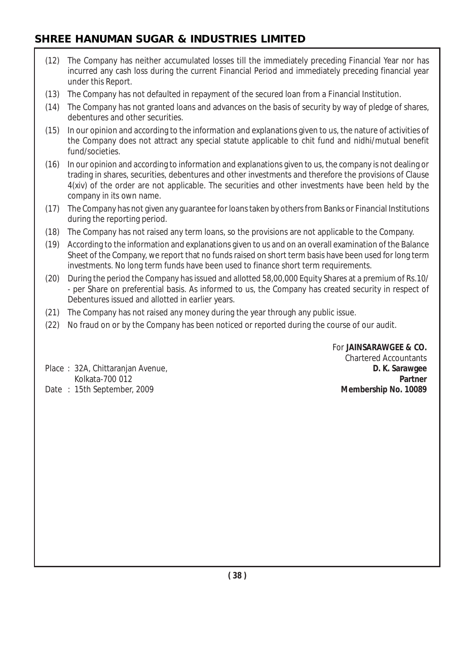- (12) The Company has neither accumulated losses till the immediately preceding Financial Year nor has incurred any cash loss during the current Financial Period and immediately preceding financial year under this Report.
- (13) The Company has not defaulted in repayment of the secured loan from a Financial Institution.
- (14) The Company has not granted loans and advances on the basis of security by way of pledge of shares, debentures and other securities.
- (15) In our opinion and according to the information and explanations given to us, the nature of activities of the Company does not attract any special statute applicable to chit fund and nidhi/mutual benefit fund/societies.
- (16) In our opinion and according to information and explanations given to us, the company is not dealing or trading in shares, securities, debentures and other investments and therefore the provisions of Clause 4(xiv) of the order are not applicable. The securities and other investments have been held by the company in its own name.
- (17) The Company has not given any guarantee for loans taken by others from Banks or Financial Institutions during the reporting period.
- (18) The Company has not raised any term loans, so the provisions are not applicable to the Company.
- (19) According to the information and explanations given to us and on an overall examination of the Balance Sheet of the Company, we report that no funds raised on short term basis have been used for long term investments. No long term funds have been used to finance short term requirements.
- (20) During the period the Company has issued and allotted 58,00,000 Equity Shares at a premium of Rs.10/ - per Share on preferential basis. As informed to us, the Company has created security in respect of Debentures issued and allotted in earlier years.
- (21) The Company has not raised any money during the year through any public issue.
- (22) No fraud on or by the Company has been noticed or reported during the course of our audit.

For **JAINSARAWGEE & CO.** Chartered Accountants Kolkata-700 012 **Partner**

Place : 32A, Chittaranjan Avenue, **D. K. Sarawgee** Date : 15th September, 2009 **Membership No. 10089**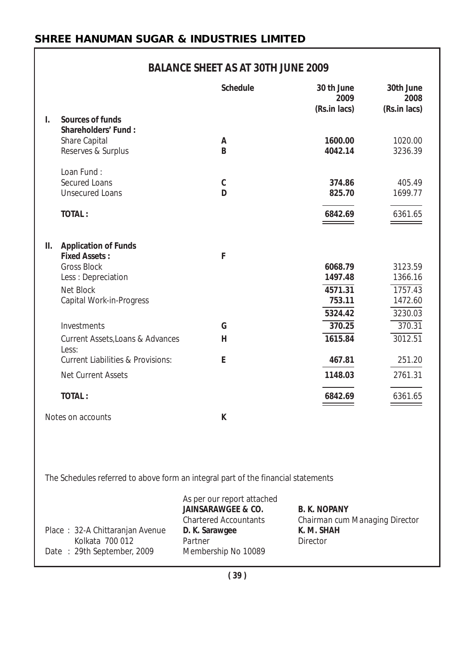# **BALANCE SHEET AS AT 30TH JUNE 2009**

|    |                                                                                       | <b>Schedule</b>                                                                                                          | 30 th June<br>2009<br>(Rs.in lacs)                                              | 30th June<br>2008<br>(Rs.in lacs) |
|----|---------------------------------------------------------------------------------------|--------------------------------------------------------------------------------------------------------------------------|---------------------------------------------------------------------------------|-----------------------------------|
| I. | Sources of funds<br><b>Shareholders' Fund:</b><br>Share Capital<br>Reserves & Surplus | A<br>B                                                                                                                   | 1600.00<br>4042.14                                                              | 1020.00<br>3236.39                |
|    | Loan Fund:<br><b>Secured Loans</b><br><b>Unsecured Loans</b>                          | C<br>D                                                                                                                   | 374.86<br>825.70                                                                | 405.49<br>1699.77                 |
|    | <b>TOTAL:</b>                                                                         |                                                                                                                          | 6842.69                                                                         | 6361.65                           |
| Ш. | <b>Application of Funds</b><br><b>Fixed Assets:</b>                                   | F                                                                                                                        |                                                                                 |                                   |
|    | <b>Gross Block</b>                                                                    |                                                                                                                          | 6068.79                                                                         | 3123.59                           |
|    | Less : Depreciation                                                                   |                                                                                                                          | 1497.48                                                                         | 1366.16                           |
|    | <b>Net Block</b><br>Capital Work-in-Progress                                          |                                                                                                                          | 4571.31<br>753.11                                                               | 1757.43<br>1472.60                |
|    |                                                                                       |                                                                                                                          | 5324.42                                                                         | 3230.03                           |
|    | Investments                                                                           | G                                                                                                                        | 370.25                                                                          | 370.31                            |
|    | Current Assets, Loans & Advances<br>Less:                                             | н                                                                                                                        | 1615.84                                                                         | 3012.51                           |
|    | <b>Current Liabilities &amp; Provisions:</b>                                          | E                                                                                                                        | 467.81                                                                          | 251.20                            |
|    | <b>Net Current Assets</b>                                                             |                                                                                                                          | 1148.03                                                                         | 2761.31                           |
|    | <b>TOTAL:</b>                                                                         |                                                                                                                          | 6842.69                                                                         | 6361.65                           |
|    | Notes on accounts                                                                     | K                                                                                                                        |                                                                                 |                                   |
|    |                                                                                       |                                                                                                                          |                                                                                 |                                   |
|    | The Schedules referred to above form an integral part of the financial statements     |                                                                                                                          |                                                                                 |                                   |
|    | Place: 32-A Chittaranjan Avenue<br>Kolkata 700 012                                    | As per our report attached<br><b>JAINSARAWGEE &amp; CO.</b><br><b>Chartered Accountants</b><br>D. K. Sarawgee<br>Partner | <b>B. K. NOPANY</b><br>Chairman cum Managing Director<br>K. M. SHAH<br>Director |                                   |

Date : 29th September, 2009 Membership No 10089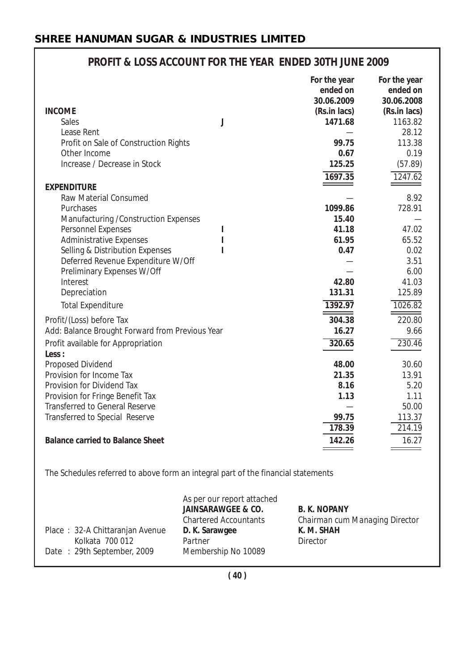| <b>INCOME</b><br><b>Sales</b><br>Lease Rent<br>Profit on Sale of Construction Rights<br>Other Income | J | For the year<br>ended on<br>30.06.2009<br>(Rs.in lacs)<br>1471.68<br>99.75<br>0.67 | For the year<br>ended on<br>30.06.2008<br>(Rs.in lacs)<br>1163.82<br>28.12<br>113.38<br>0.19 |
|------------------------------------------------------------------------------------------------------|---|------------------------------------------------------------------------------------|----------------------------------------------------------------------------------------------|
| Increase / Decrease in Stock                                                                         |   | 125.25<br>1697.35                                                                  | (57.89)<br>1247.62                                                                           |
| <b>EXPENDITURE</b>                                                                                   |   |                                                                                    |                                                                                              |
| Raw Material Consumed                                                                                |   |                                                                                    | 8.92                                                                                         |
| Purchases                                                                                            |   | 1099.86                                                                            | 728.91                                                                                       |
| Manufacturing / Construction Expenses                                                                |   | 15.40                                                                              |                                                                                              |
| Personnel Expenses                                                                                   |   | 41.18                                                                              | 47.02                                                                                        |
| <b>Administrative Expenses</b>                                                                       |   | 61.95                                                                              | 65.52                                                                                        |
| Selling & Distribution Expenses                                                                      |   | 0.47                                                                               | 0.02                                                                                         |
| Deferred Revenue Expenditure W/Off                                                                   |   |                                                                                    | 3.51                                                                                         |
| Preliminary Expenses W/Off                                                                           |   |                                                                                    | 6.00                                                                                         |
| Interest                                                                                             |   | 42.80                                                                              | 41.03                                                                                        |
| Depreciation                                                                                         |   | 131.31                                                                             | 125.89                                                                                       |
| <b>Total Expenditure</b>                                                                             |   | 1392.97                                                                            | 1026.82                                                                                      |
| Profit/(Loss) before Tax                                                                             |   | 304.38                                                                             | 220.80                                                                                       |
| Add: Balance Brought Forward from Previous Year                                                      |   | 16.27                                                                              | 9.66                                                                                         |
| Profit available for Appropriation<br>Less:                                                          |   | 320.65                                                                             | 230.46                                                                                       |
| Proposed Dividend                                                                                    |   | 48.00                                                                              | 30.60                                                                                        |
| Provision for Income Tax                                                                             |   | 21.35                                                                              | 13.91                                                                                        |
| Provision for Dividend Tax                                                                           |   | 8.16                                                                               | 5.20                                                                                         |
| Provision for Fringe Benefit Tax                                                                     |   | 1.13                                                                               | 1.11                                                                                         |
| <b>Transferred to General Reserve</b>                                                                |   |                                                                                    | 50.00                                                                                        |
| Transferred to Special Reserve                                                                       |   | 99.75                                                                              | 113.37                                                                                       |
|                                                                                                      |   | 178.39                                                                             | 214.19                                                                                       |
| <b>Balance carried to Balance Sheet</b>                                                              |   | 142.26                                                                             | 16.27                                                                                        |

# **PROFIT & LOSS ACCOUNT FOR THE YEAR ENDED 30TH JUNE 2009**

The Schedules referred to above form an integral part of the financial statements

| Place: 32-A Chittaranjan Avenue               | As per our report attached<br><b>JAINSARAWGEE &amp; CO.</b><br><b>Chartered Accountants</b><br>D. K. Sarawgee | <b>B. K. NOPANY</b><br>Chairman cum Managing Director<br>K. M. SHAH |
|-----------------------------------------------|---------------------------------------------------------------------------------------------------------------|---------------------------------------------------------------------|
| Kolkata 700 012<br>Date: 29th September, 2009 | Partner<br>Membership No 10089                                                                                | Director                                                            |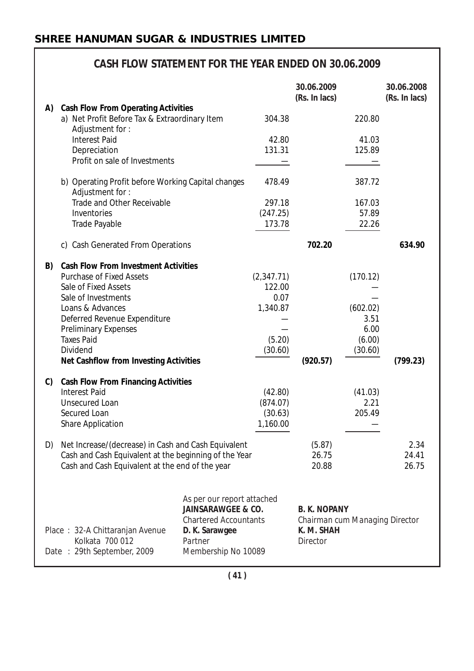|    | CASH FLOW STATEMENT FOR THE YEAR ENDED ON 30.06.2009                                                           |                                                                                             |                 |                                                       |                 |                             |
|----|----------------------------------------------------------------------------------------------------------------|---------------------------------------------------------------------------------------------|-----------------|-------------------------------------------------------|-----------------|-----------------------------|
|    |                                                                                                                |                                                                                             |                 | 30.06.2009<br>(Rs. In lacs)                           |                 | 30.06.2008<br>(Rs. In lacs) |
| A) | <b>Cash Flow From Operating Activities</b><br>a) Net Profit Before Tax & Extraordinary Item<br>Adjustment for: |                                                                                             | 304.38          |                                                       | 220.80          |                             |
|    | <b>Interest Paid</b><br>Depreciation                                                                           |                                                                                             | 42.80<br>131.31 |                                                       | 41.03<br>125.89 |                             |
|    | Profit on sale of Investments                                                                                  |                                                                                             |                 |                                                       |                 |                             |
|    | b) Operating Profit before Working Capital changes<br>Adjustment for:                                          |                                                                                             | 478.49          |                                                       | 387.72          |                             |
|    | Trade and Other Receivable                                                                                     |                                                                                             | 297.18          |                                                       | 167.03          |                             |
|    | Inventories                                                                                                    |                                                                                             | (247.25)        |                                                       | 57.89           |                             |
|    | Trade Payable                                                                                                  |                                                                                             | 173.78          |                                                       | 22.26           |                             |
|    | c) Cash Generated From Operations                                                                              |                                                                                             |                 | 702.20                                                |                 | 634.90                      |
| B) | <b>Cash Flow From Investment Activities</b>                                                                    |                                                                                             |                 |                                                       |                 |                             |
|    | <b>Purchase of Fixed Assets</b>                                                                                |                                                                                             | (2,347.71)      |                                                       | (170.12)        |                             |
|    | Sale of Fixed Assets                                                                                           |                                                                                             | 122.00          |                                                       |                 |                             |
|    | Sale of Investments                                                                                            |                                                                                             | 0.07            |                                                       |                 |                             |
|    | Loans & Advances                                                                                               |                                                                                             | 1,340.87        |                                                       | (602.02)        |                             |
|    | Deferred Revenue Expenditure                                                                                   |                                                                                             |                 |                                                       | 3.51            |                             |
|    | <b>Preliminary Expenses</b>                                                                                    |                                                                                             |                 |                                                       | 6.00            |                             |
|    | <b>Taxes Paid</b>                                                                                              |                                                                                             | (5.20)          |                                                       | (6.00)          |                             |
|    | Dividend<br>Net Cashflow from Investing Activities                                                             |                                                                                             | (30.60)         | (920.57)                                              | (30.60)         | (799.23)                    |
|    |                                                                                                                |                                                                                             |                 |                                                       |                 |                             |
| C) | <b>Cash Flow From Financing Activities</b>                                                                     |                                                                                             |                 |                                                       |                 |                             |
|    | <b>Interest Paid</b>                                                                                           |                                                                                             | (42.80)         |                                                       | (41.03)         |                             |
|    | <b>Unsecured Loan</b>                                                                                          |                                                                                             | (874.07)        |                                                       | 2.21            |                             |
|    | Secured Loan                                                                                                   |                                                                                             | (30.63)         |                                                       | 205.49          |                             |
|    | <b>Share Application</b>                                                                                       |                                                                                             | 1,160.00        |                                                       |                 |                             |
| D) | Net Increase/(decrease) in Cash and Cash Equivalent                                                            |                                                                                             |                 | (5.87)                                                |                 | 2.34                        |
|    | Cash and Cash Equivalent at the beginning of the Year                                                          |                                                                                             |                 | 26.75                                                 |                 | 24.41                       |
|    | Cash and Cash Equivalent at the end of the year                                                                |                                                                                             |                 | 20.88                                                 |                 | 26.75                       |
|    |                                                                                                                |                                                                                             |                 |                                                       |                 |                             |
|    |                                                                                                                | As per our report attached<br><b>JAINSARAWGEE &amp; CO.</b><br><b>Chartered Accountants</b> |                 | <b>B. K. NOPANY</b><br>Chairman cum Managing Director |                 |                             |
|    | Place: 32-A Chittaranjan Avenue                                                                                | D. K. Sarawgee                                                                              |                 | K. M. SHAH                                            |                 |                             |
|    | Kolkata 700 012<br>Date: 29th September, 2009                                                                  | Partner<br>Membership No 10089                                                              |                 | Director                                              |                 |                             |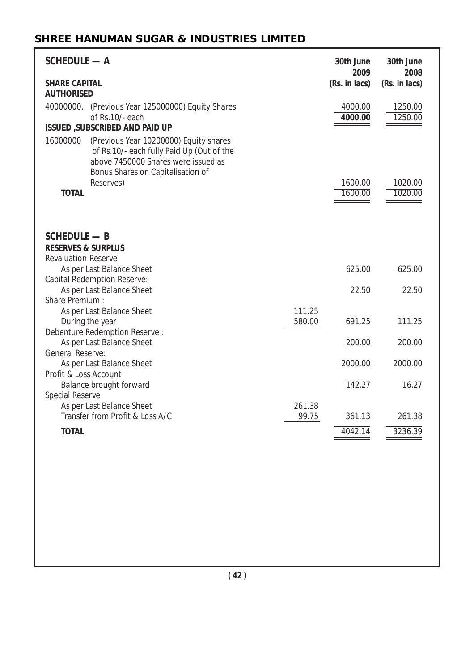| <b>SCHEDULE - A</b>                                                                                                                                                                      |                 | 30th June<br>2009  | 30th June<br>2008  |
|------------------------------------------------------------------------------------------------------------------------------------------------------------------------------------------|-----------------|--------------------|--------------------|
| <b>SHARE CAPITAL</b><br><b>AUTHORISED</b>                                                                                                                                                |                 | (Rs. in lacs)      | (Rs. in lacs)      |
| 40000000, (Previous Year 125000000) Equity Shares<br>of Rs.10/- each                                                                                                                     |                 | 4000.00<br>4000.00 | 1250.00<br>1250.00 |
| <b>ISSUED , SUBSCRIBED AND PAID UP</b>                                                                                                                                                   |                 |                    |                    |
| 16000000<br>(Previous Year 10200000) Equity shares<br>of Rs.10/- each fully Paid Up (Out of the<br>above 7450000 Shares were issued as<br>Bonus Shares on Capitalisation of<br>Reserves) |                 | 1600.00            | 1020.00            |
| <b>TOTAL</b>                                                                                                                                                                             |                 | 1600.00            | 1020.00            |
| <b>SCHEDULE - B</b><br><b>RESERVES &amp; SURPLUS</b>                                                                                                                                     |                 |                    |                    |
| <b>Revaluation Reserve</b>                                                                                                                                                               |                 |                    |                    |
| As per Last Balance Sheet<br>Capital Redemption Reserve:                                                                                                                                 |                 | 625.00             | 625.00             |
| As per Last Balance Sheet                                                                                                                                                                |                 | 22.50              | 22.50              |
| Share Premium:                                                                                                                                                                           |                 |                    |                    |
| As per Last Balance Sheet                                                                                                                                                                | 111.25          |                    |                    |
| During the year                                                                                                                                                                          | 580.00          | 691.25             | 111.25             |
| Debenture Redemption Reserve:<br>As per Last Balance Sheet<br>General Reserve:                                                                                                           |                 | 200.00             | 200.00             |
| As per Last Balance Sheet                                                                                                                                                                |                 | 2000.00            | 2000.00            |
| Profit & Loss Account                                                                                                                                                                    |                 |                    |                    |
| Balance brought forward                                                                                                                                                                  |                 | 142.27             | 16.27              |
| Special Reserve                                                                                                                                                                          |                 |                    |                    |
| As per Last Balance Sheet<br>Transfer from Profit & Loss A/C                                                                                                                             | 261.38<br>99.75 | 361.13             | 261.38             |
| <b>TOTAL</b>                                                                                                                                                                             |                 | 4042.14            | 3236.39            |
|                                                                                                                                                                                          |                 |                    |                    |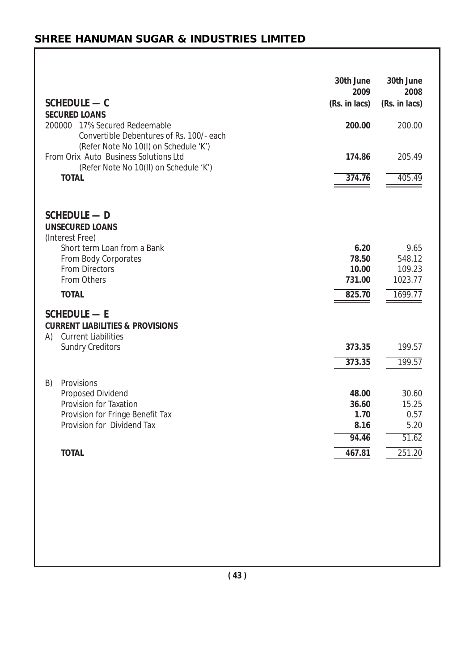| SCHEDULE - C<br><b>SECURED LOANS</b>                                                                                     | 30th June<br>2009<br>(Rs. in lacs) | 30th June<br>2008<br>(Rs. in lacs) |
|--------------------------------------------------------------------------------------------------------------------------|------------------------------------|------------------------------------|
| 200000 17% Secured Redeemable<br>Convertible Debentures of Rs. 100/- each                                                | 200.00                             | 200.00                             |
| (Refer Note No 10(I) on Schedule 'K')<br>From Orix Auto Business Solutions Ltd<br>(Refer Note No 10(II) on Schedule 'K') | 174.86                             | 205.49                             |
| <b>TOTAL</b>                                                                                                             | 374.76                             | 405.49                             |
| <b>SCHEDULE — D</b><br><b>UNSECURED LOANS</b><br>(Interest Free)                                                         |                                    |                                    |
| Short term Loan from a Bank                                                                                              | 6.20                               | 9.65                               |
| From Body Corporates                                                                                                     | 78.50                              | 548.12                             |
| <b>From Directors</b><br>From Others                                                                                     | 10.00<br>731.00                    | 109.23<br>1023.77                  |
| <b>TOTAL</b>                                                                                                             | 825.70                             |                                    |
|                                                                                                                          |                                    | 1699.77                            |
| <b>SCHEDULE - E</b><br><b>CURRENT LIABILITIES &amp; PROVISIONS</b><br><b>Current Liabilities</b><br>A)                   |                                    |                                    |
| <b>Sundry Creditors</b>                                                                                                  | 373.35                             | 199.57                             |
|                                                                                                                          | 373.35                             | 199.57                             |
|                                                                                                                          |                                    |                                    |
| B)<br>Provisions                                                                                                         | 48.00                              | 30.60                              |
| Proposed Dividend<br>Provision for Taxation                                                                              | 36.60                              | 15.25                              |
| Provision for Fringe Benefit Tax                                                                                         | 1.70                               | 0.57                               |
| Provision for Dividend Tax                                                                                               | 8.16                               | 5.20                               |
|                                                                                                                          | 94.46                              | 51.62                              |
| <b>TOTAL</b>                                                                                                             | 467.81                             | 251.20                             |
|                                                                                                                          |                                    |                                    |
|                                                                                                                          |                                    |                                    |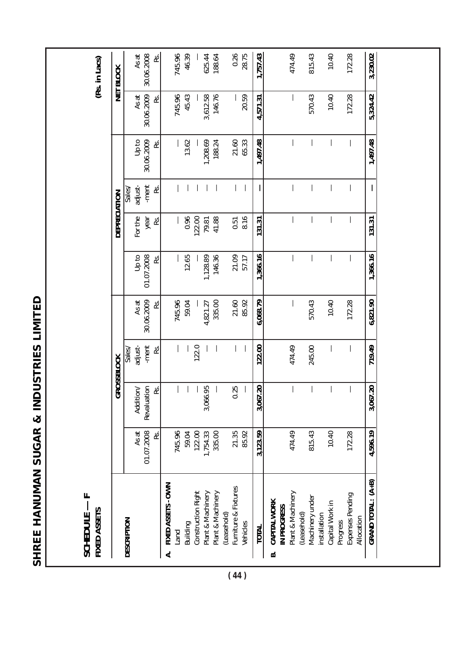|                                          | (Rs. in Lacs)                   | NET BLOCK           | 30.06.2008<br>As at<br>RS.        |                         | 745.96 | 46.39    | 625.44<br>188.64                        |                   |                                     | 0.26           | 1,757.43     |                                   | 474.49            | 815.43                         | 10.40                           |          | 172.28                         | 3,230.02           |
|------------------------------------------|---------------------------------|---------------------|-----------------------------------|-------------------------|--------|----------|-----------------------------------------|-------------------|-------------------------------------|----------------|--------------|-----------------------------------|-------------------|--------------------------------|---------------------------------|----------|--------------------------------|--------------------|
|                                          |                                 |                     | As at<br>30.06.2009<br>œ.         |                         | 745.96 | 45.43    | 3,612.58                                | 146.76            |                                     | 20.59          | 4,571.31     |                                   |                   | 570.43                         | 10.40                           |          | 172.28                         | 5,324.42           |
|                                          |                                 |                     | 30.06.2009<br>op to<br>æ.         |                         |        | 13.62    | 1,208.69                                | 188.24            | 21.60                               | 65.33          | 1,497.48     |                                   |                   |                                |                                 |          |                                | 1,497.48           |
|                                          |                                 |                     | adjust-<br>-ment<br>RS.<br>Sales/ |                         |        |          |                                         |                   |                                     |                |              |                                   |                   |                                |                                 |          |                                | J.                 |
|                                          |                                 | <b>DEPRECIATION</b> | For the<br>year<br>œ.             |                         |        | 0.96     | 122.00<br>79.81                         | 41.88             | 0.51                                | 8.16           | 131.31       |                                   |                   |                                |                                 |          |                                | 131.31             |
|                                          |                                 |                     | op to<br>01.07.2008<br>βŚ.        |                         |        | 12.65    | 1,128.89                                | 146.36            |                                     | 21.09<br>57.17 | 1,366.16     |                                   |                   |                                |                                 |          |                                | 1,366.16           |
|                                          |                                 |                     | Asat<br>30.06.2009<br>æ.          |                         | 745.96 | 59.04    | 4,821.27                                | 335.00            | 21.60                               | 85.92          | 6,068.79     |                                   |                   | 570.43                         | 10.40                           |          | 172.28                         | 6,821.90           |
| SHREE HANUMAN SUGAR & INDUSTRIES LIMITED |                                 | <b>GROSSBLOCK</b>   | -ment<br>adjust-<br>ρs.<br>Sales  |                         |        |          | 122.0                                   |                   |                                     |                | 122.00       |                                   | 474.49            | 245.00                         |                                 |          |                                | 719.49             |
|                                          |                                 |                     | Revaluation<br>Addition/<br>ρs.   |                         |        |          | 66.95<br>3,0                            |                   | 0.25                                |                | 67.20<br>3,0 |                                   |                   |                                |                                 |          |                                | 3,067.20           |
|                                          |                                 |                     | 01.07.2008<br>As at<br>Ŀ.         |                         | 745.96 | 59.04    | 122.00<br>1,754.33                      | 335.00            | 21.35                               | 85.92          | 3,123.59     |                                   | 474.49            | 815.43                         | 10.40                           |          | 172.28                         | 4,596.19           |
|                                          | FIXED ASSETS<br><b>SCHEDULE</b> |                     | <b>DESCRIPTION</b>                | FIXED ASSETS - OWN<br>4 | Land   | Building | Construction Right<br>Plant & Machinery | Plant & Machinery | Furniture & Fixtures<br>(Leasehold) | Vehicles       | <b>TOTAL</b> | CAPITAL WORK<br>IN PROGRESS<br>ΒÓ | Plant & Machinery | Machinery under<br>(Leasehold) | Capital Work in<br>installation | Progress | Expenses Pending<br>Allocation | GRAND TOTAL: (A+B) |

**( 44 )**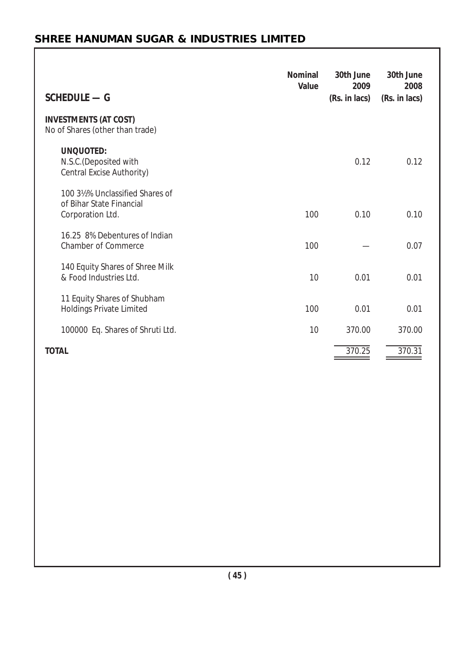| <b>SCHEDULE - G</b>                                                            | <b>Nominal</b><br>Value | 30th June<br>2009<br>(Rs. in lacs) | 30th June<br>2008<br>(Rs. in lacs) |
|--------------------------------------------------------------------------------|-------------------------|------------------------------------|------------------------------------|
| <b>INVESTMENTS (AT COST)</b><br>No of Shares (other than trade)                |                         |                                    |                                    |
| <b>UNQUOTED:</b><br>N.S.C. (Deposited with<br>Central Excise Authority)        |                         | 0.12                               | 0.12                               |
| 100 3½% Unclassified Shares of<br>of Bihar State Financial<br>Corporation Ltd. | 100                     | 0.10                               | 0.10                               |
| 16.25 8% Debentures of Indian<br><b>Chamber of Commerce</b>                    | 100                     |                                    | 0.07                               |
| 140 Equity Shares of Shree Milk<br>& Food Industries Ltd.                      | 10                      | 0.01                               | 0.01                               |
| 11 Equity Shares of Shubham<br><b>Holdings Private Limited</b>                 | 100                     | 0.01                               | 0.01                               |
| 100000 Eq. Shares of Shruti Ltd.                                               | 10                      | 370.00                             | 370.00                             |
| <b>TOTAL</b>                                                                   |                         | 370.25                             | 370.31                             |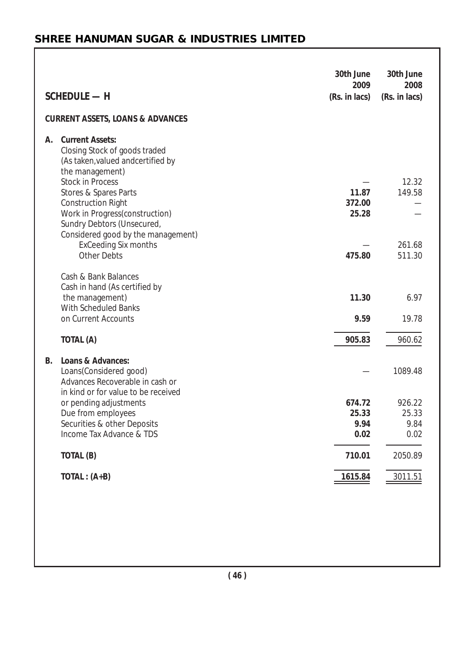| <b>SCHEDULE - H</b>                                                                                                                                      | 30th June<br>2009<br>(Rs. in lacs) | 30th June<br>2008<br>(Rs. in lacs) |
|----------------------------------------------------------------------------------------------------------------------------------------------------------|------------------------------------|------------------------------------|
| <b>CURRENT ASSETS, LOANS &amp; ADVANCES</b>                                                                                                              |                                    |                                    |
| <b>Current Assets:</b><br>А.<br>Closing Stock of goods traded<br>(As taken, valued andcertified by<br>the management)<br><b>Stock in Process</b>         |                                    | 12.32                              |
| Stores & Spares Parts<br><b>Construction Right</b><br>Work in Progress(construction)<br>Sundry Debtors (Unsecured,<br>Considered good by the management) | 11.87<br>372.00<br>25.28           | 149.58<br>261.68                   |
| <b>ExCeeding Six months</b><br><b>Other Debts</b>                                                                                                        | 475.80                             | 511.30                             |
| Cash & Bank Balances<br>Cash in hand (As certified by<br>the management)                                                                                 | 11.30                              | 6.97                               |
| With Scheduled Banks<br>on Current Accounts                                                                                                              | 9.59                               | 19.78                              |
| TOTAL (A)                                                                                                                                                | 905.83                             | 960.62                             |
| Loans & Advances:<br><b>B.</b><br>Loans(Considered good)<br>Advances Recoverable in cash or<br>in kind or for value to be received                       |                                    | 1089.48                            |
| or pending adjustments<br>Due from employees<br>Securities & other Deposits                                                                              | 674.72<br>25.33<br>9.94            | 926.22<br>25.33<br>9.84            |
| Income Tax Advance & TDS                                                                                                                                 | 0.02                               | 0.02                               |
| TOTAL (B)                                                                                                                                                | 710.01                             | 2050.89                            |
| $TOTAL: (A+B)$                                                                                                                                           | 1615.84                            | 3011.51                            |
|                                                                                                                                                          |                                    |                                    |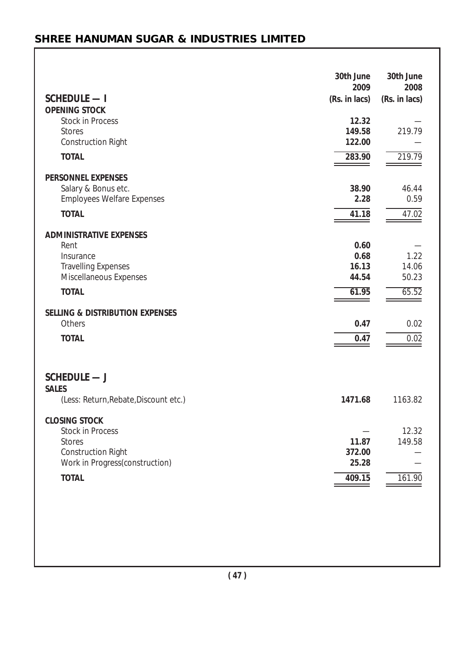| <b>SCHEDULE — I</b>                             | 30th June<br>2009<br>(Rs. in lacs) | 30th June<br>2008<br>(Rs. in lacs) |
|-------------------------------------------------|------------------------------------|------------------------------------|
| <b>OPENING STOCK</b>                            |                                    |                                    |
| <b>Stock in Process</b>                         | 12.32                              |                                    |
| <b>Stores</b>                                   | 149.58                             | 219.79                             |
| Construction Right                              | 122.00                             |                                    |
| <b>TOTAL</b>                                    | 283.90                             | 219.79                             |
| <b>PERSONNEL EXPENSES</b>                       |                                    |                                    |
| Salary & Bonus etc.                             | 38.90                              | 46.44                              |
| <b>Employees Welfare Expenses</b>               | 2.28                               | 0.59                               |
| <b>TOTAL</b>                                    | 41.18                              | 47.02                              |
|                                                 |                                    |                                    |
| <b>ADMINISTRATIVE EXPENSES</b>                  |                                    |                                    |
| Rent                                            | 0.60                               |                                    |
| Insurance                                       | 0.68                               | 1.22                               |
| <b>Travelling Expenses</b>                      | 16.13                              | 14.06                              |
| Miscellaneous Expenses                          | 44.54                              | 50.23                              |
| <b>TOTAL</b>                                    | 61.95                              | 65.52                              |
| <b>SELLING &amp; DISTRIBUTION EXPENSES</b>      |                                    |                                    |
| Others                                          | 0.47                               | 0.02                               |
| <b>TOTAL</b>                                    |                                    |                                    |
|                                                 | 0.47                               | 0.02                               |
| SCHEDULE - J<br><b>SALES</b>                    |                                    |                                    |
| (Less: Return, Rebate, Discount etc.)           | 1471.68                            | 1163.82                            |
| <b>CLOSING STOCK</b><br><b>Stock in Process</b> |                                    | 12.32                              |
| <b>Stores</b>                                   | 11.87                              | 149.58                             |
| <b>Construction Right</b>                       | 372.00                             |                                    |
| Work in Progress(construction)                  | 25.28                              |                                    |
| <b>TOTAL</b>                                    | 409.15                             | 161.90                             |
|                                                 |                                    |                                    |
|                                                 |                                    |                                    |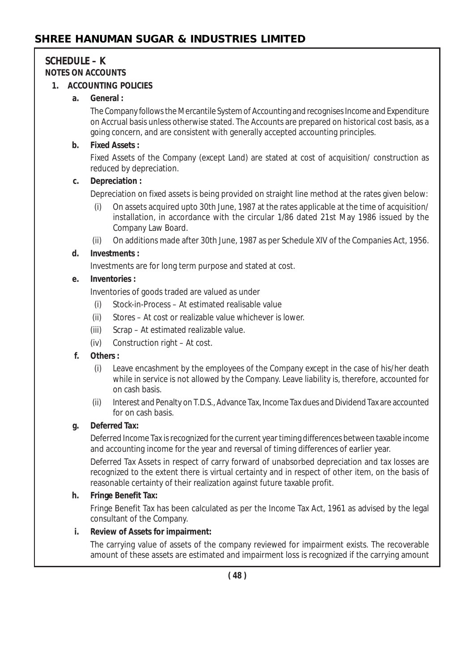# **SCHEDULE – K NOTES ON ACCOUNTS**

## **1. ACCOUNTING POLICIES**

## **a. General :**

The Company follows the Mercantile System of Accounting and recognises Income and Expenditure on Accrual basis unless otherwise stated. The Accounts are prepared on historical cost basis, as a going concern, and are consistent with generally accepted accounting principles.

## **b. Fixed Assets :**

Fixed Assets of the Company (except Land) are stated at cost of acquisition/ construction as reduced by depreciation.

## **c. Depreciation :**

Depreciation on fixed assets is being provided on straight line method at the rates given below:

- (i) On assets acquired upto 30th June, 1987 at the rates applicable at the time of acquisition/ installation, in accordance with the circular 1/86 dated 21st May 1986 issued by the Company Law Board.
- (ii) On additions made after 30th June, 1987 as per Schedule XIV of the Companies Act, 1956.

## **d. Investments :**

Investments are for long term purpose and stated at cost.

## **e. Inventories :**

Inventories of goods traded are valued as under

- (i) Stock-in-Process At estimated realisable value
- (ii) Stores At cost or realizable value whichever is lower.
- (iii) Scrap At estimated realizable value.
- (iv) Construction right At cost.

## **f. Others :**

- (i) Leave encashment by the employees of the Company except in the case of his/her death while in service is not allowed by the Company. Leave liability is, therefore, accounted for on cash basis.
- (ii) Interest and Penalty on T.D.S., Advance Tax, Income Tax dues and Dividend Tax are accounted for on cash basis.

## **g. Deferred Tax:**

Deferred Income Tax is recognized for the current year timing differences between taxable income and accounting income for the year and reversal of timing differences of earlier year.

Deferred Tax Assets in respect of carry forward of unabsorbed depreciation and tax losses are recognized to the extent there is virtual certainty and in respect of other item, on the basis of reasonable certainty of their realization against future taxable profit.

## **h. Fringe Benefit Tax:**

Fringe Benefit Tax has been calculated as per the Income Tax Act, 1961 as advised by the legal consultant of the Company.

# **i. Review of Assets for impairment:**

The carrying value of assets of the company reviewed for impairment exists. The recoverable amount of these assets are estimated and impairment loss is recognized if the carrying amount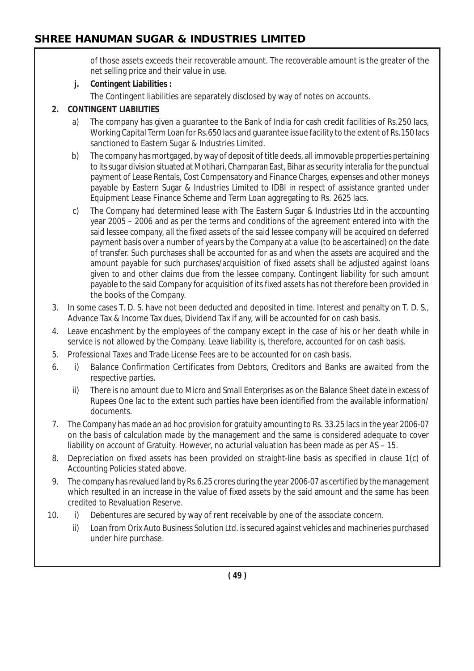of those assets exceeds their recoverable amount. The recoverable amount is the greater of the net selling price and their value in use.

## **j. Contingent Liabilities :**

The Contingent liabilities are separately disclosed by way of notes on accounts.

## **2. CONTINGENT LIABILITIES**

- a) The company has given a guarantee to the Bank of India for cash credit facilities of Rs.250 lacs, Working Capital Term Loan for Rs.650 lacs and guarantee issue facility to the extent of Rs.150 lacs sanctioned to Eastern Sugar & Industries Limited.
- b) The company has mortgaged, by way of deposit of title deeds, all immovable properties pertaining to its sugar division situated at Motihari, Champaran East, Bihar as security *interalia* for the punctual payment of Lease Rentals, Cost Compensatory and Finance Charges, expenses and other moneys payable by Eastern Sugar & Industries Limited to IDBI in respect of assistance granted under Equipment Lease Finance Scheme and Term Loan aggregating to Rs. 2625 lacs.
- c) The Company had determined lease with The Eastern Sugar & Industries Ltd in the accounting year 2005 – 2006 and as per the terms and conditions of the agreement entered into with the said lessee company, all the fixed assets of the said lessee company will be acquired on deferred payment basis over a number of years by the Company at a value (to be ascertained) on the date of transfer. Such purchases shall be accounted for as and when the assets are acquired and the amount payable for such purchases/acquisition of fixed assets shall be adjusted against loans given to and other claims due from the lessee company. Contingent liability for such amount payable to the said Company for acquisition of its fixed assets has not therefore been provided in the books of the Company.
- 3. In some cases T. D. S. have not been deducted and deposited in time. Interest and penalty on T. D. S., Advance Tax & Income Tax dues, Dividend Tax if any, will be accounted for on cash basis.
- 4. Leave encashment by the employees of the company except in the case of his or her death while in service is not allowed by the Company. Leave liability is, therefore, accounted for on cash basis.
- 5. Professional Taxes and Trade License Fees are to be accounted for on cash basis.
- 6. i) Balance Confirmation Certificates from Debtors, Creditors and Banks are awaited from the respective parties.
	- ii) There is no amount due to Micro and Small Enterprises as on the Balance Sheet date in excess of Rupees One lac to the extent such parties have been identified from the available information/ documents.
- 7. The Company has made an ad hoc provision for gratuity amounting to Rs. 33.25 lacs in the year 2006-07 on the basis of calculation made by the management and the same is considered adequate to cover liability on account of Gratuity. However, no acturial valuation has been made as per AS – 15.
- 8. Depreciation on fixed assets has been provided on straight-line basis as specified in clause 1(c) of Accounting Policies stated above.
- 9. The company has revalued land by Rs.6.25 crores during the year 2006-07 as certified by the management which resulted in an increase in the value of fixed assets by the said amount and the same has been credited to Revaluation Reserve.
- 10. i) Debentures are secured by way of rent receivable by one of the associate concern.
	- ii) Loan from Orix Auto Business Solution Ltd. is secured against vehicles and machineries purchased under hire purchase.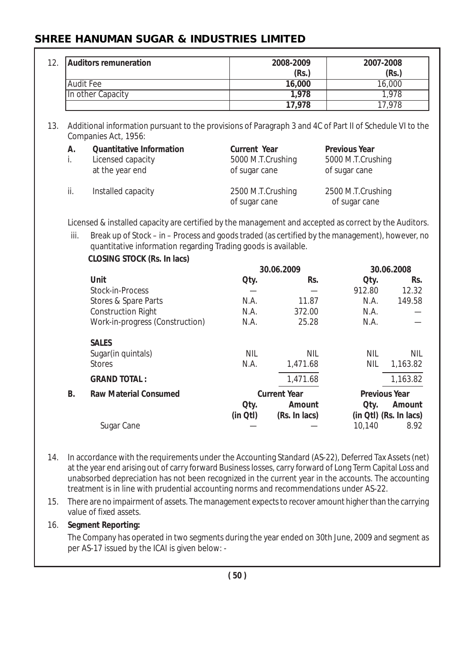|           | <b>Auditors remuneration</b>                                                                                                                                      |                     | 2008-2009           |                      | 2007-2008                                        |  |  |
|-----------|-------------------------------------------------------------------------------------------------------------------------------------------------------------------|---------------------|---------------------|----------------------|--------------------------------------------------|--|--|
|           |                                                                                                                                                                   |                     | (Rs.)               | (Rs.)                |                                                  |  |  |
|           | <b>Audit Fee</b>                                                                                                                                                  |                     | 16,000              |                      | 16,000                                           |  |  |
|           | In other Capacity                                                                                                                                                 |                     | 1,978               |                      | 1,978                                            |  |  |
|           |                                                                                                                                                                   |                     | 17,978              |                      | 17,978                                           |  |  |
|           | Additional information pursuant to the provisions of Paragraph 3 and 4C of Part II of Schedule VI to the<br>Companies Act, 1956:                                  |                     |                     |                      |                                                  |  |  |
| Α.        | <b>Quantitative Information</b>                                                                                                                                   | <b>Current Year</b> |                     | <b>Previous Year</b> |                                                  |  |  |
| i.        | Licensed capacity                                                                                                                                                 | 5000 M.T.Crushing   |                     | 5000 M.T.Crushing    |                                                  |  |  |
|           | at the year end                                                                                                                                                   | of sugar cane       |                     | of sugar cane        |                                                  |  |  |
| ii.       | Installed capacity                                                                                                                                                | 2500 M.T.Crushing   |                     | 2500 M.T.Crushing    |                                                  |  |  |
|           |                                                                                                                                                                   | of sugar cane       |                     | of sugar cane        |                                                  |  |  |
|           | Licensed & installed capacity are certified by the management and accepted as correct by the Auditors.                                                            |                     |                     |                      |                                                  |  |  |
| iii.      | Break up of Stock – in – Process and goods traded (as certified by the management), however, no<br>quantitative information regarding Trading goods is available. |                     |                     |                      |                                                  |  |  |
|           | <b>CLOSING STOCK (Rs. In lacs)</b>                                                                                                                                |                     |                     |                      |                                                  |  |  |
|           |                                                                                                                                                                   |                     | 30.06.2009          |                      | 30.06.2008                                       |  |  |
|           |                                                                                                                                                                   |                     |                     |                      |                                                  |  |  |
|           | Unit                                                                                                                                                              | Oty.                | Rs.                 | Oty.                 |                                                  |  |  |
|           | Stock-in-Process                                                                                                                                                  |                     |                     | 912.80               |                                                  |  |  |
|           | Stores & Spare Parts                                                                                                                                              | N.A.                | 11.87               | N.A.                 |                                                  |  |  |
|           | <b>Construction Right</b>                                                                                                                                         | N.A.                | 372.00              | N.A.                 |                                                  |  |  |
|           | Work-in-progress (Construction)                                                                                                                                   | N.A.                | 25.28               | N.A.                 |                                                  |  |  |
|           | <b>SALES</b>                                                                                                                                                      |                     |                     |                      |                                                  |  |  |
|           | Sugar(in quintals)                                                                                                                                                | <b>NIL</b>          | <b>NIL</b>          | <b>NIL</b>           |                                                  |  |  |
|           | <b>Stores</b>                                                                                                                                                     | N.A.                | 1,471.68            | <b>NIL</b>           | Rs.<br>12.32<br>149.58<br><b>NIL</b><br>1,163.82 |  |  |
|           | <b>GRAND TOTAL:</b>                                                                                                                                               |                     | 1,471.68            |                      |                                                  |  |  |
| <b>B.</b> | <b>Raw Material Consumed</b>                                                                                                                                      |                     | <b>Current Year</b> |                      | 1,163.82<br><b>Previous Year</b>                 |  |  |
|           |                                                                                                                                                                   | Oty.                | Amount              | Qty.                 | Amount                                           |  |  |
|           | Sugar Cane                                                                                                                                                        | $(in Qt)$           | (Rs. In lacs)       | 10,140               | (in Qtl) (Rs. In lacs)<br>8.92                   |  |  |

- 14. In accordance with the requirements under the Accounting Standard (AS-22), Deferred Tax Assets (net) at the year end arising out of carry forward Business losses, carry forward of Long Term Capital Loss and unabsorbed depreciation has not been recognized in the current year in the accounts. The accounting treatment is in line with prudential accounting norms and recommendations under AS-22.
- 15. There are no impairment of assets. The management expects to recover amount higher than the carrying value of fixed assets.

#### 16. **Segment Reporting:**

The Company has operated in two segments during the year ended on 30th June, 2009 and segment as per AS-17 issued by the ICAI is given below: -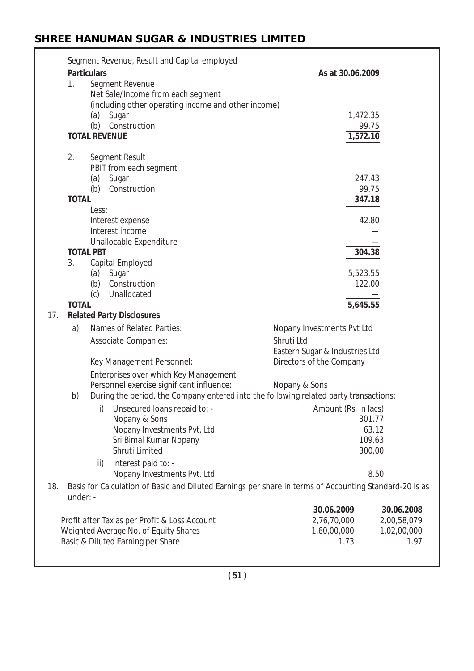|     |              |                    | Segment Revenue, Result and Capital employed                                           |                                                                                                        |             |
|-----|--------------|--------------------|----------------------------------------------------------------------------------------|--------------------------------------------------------------------------------------------------------|-------------|
|     |              | <b>Particulars</b> |                                                                                        | As at 30.06.2009                                                                                       |             |
|     | 1.           |                    | Segment Revenue                                                                        |                                                                                                        |             |
|     |              |                    | Net Sale/Income from each segment                                                      |                                                                                                        |             |
|     |              |                    | (including other operating income and other income)                                    |                                                                                                        |             |
|     |              |                    | (a) Sugar                                                                              |                                                                                                        | 1,472.35    |
|     |              |                    | (b) Construction                                                                       |                                                                                                        | 99.75       |
|     |              |                    | <b>TOTAL REVENUE</b>                                                                   |                                                                                                        | 1,572.10    |
|     | 2.           |                    | Segment Result                                                                         |                                                                                                        |             |
|     |              |                    | PBIT from each segment                                                                 |                                                                                                        |             |
|     |              |                    | (a) Sugar                                                                              |                                                                                                        | 247.43      |
|     |              |                    | (b) Construction                                                                       |                                                                                                        | 99.75       |
|     | <b>TOTAL</b> |                    |                                                                                        |                                                                                                        | 347.18      |
|     |              | Less:              |                                                                                        |                                                                                                        |             |
|     |              |                    | Interest expense                                                                       |                                                                                                        | 42.80       |
|     |              |                    | Interest income                                                                        |                                                                                                        |             |
|     |              |                    | Unallocable Expenditure                                                                |                                                                                                        |             |
|     |              | <b>TOTAL PBT</b>   |                                                                                        |                                                                                                        | 304.38      |
|     | 3.           |                    | Capital Employed                                                                       |                                                                                                        |             |
|     |              |                    | (a) Sugar                                                                              |                                                                                                        | 5,523.55    |
|     |              |                    | (b) Construction                                                                       |                                                                                                        | 122.00      |
|     |              | (c)                | Unallocated                                                                            |                                                                                                        |             |
|     | <b>TOTAL</b> |                    |                                                                                        |                                                                                                        | 5,645.55    |
| 17. |              |                    | <b>Related Party Disclosures</b>                                                       |                                                                                                        |             |
|     | a)           |                    | Names of Related Parties:                                                              | Nopany Investments Pvt Ltd                                                                             |             |
|     |              |                    | Associate Companies:                                                                   | Shruti Ltd                                                                                             |             |
|     |              |                    |                                                                                        | Eastern Sugar & Industries Ltd                                                                         |             |
|     |              |                    | Key Management Personnel:                                                              | Directors of the Company                                                                               |             |
|     |              |                    | Enterprises over which Key Management                                                  |                                                                                                        |             |
|     |              |                    | Personnel exercise significant influence:                                              | Nopany & Sons                                                                                          |             |
|     | b)           |                    |                                                                                        | During the period, the Company entered into the following related party transactions:                  |             |
|     |              |                    | i) Unsecured loans repaid to: -                                                        | Amount (Rs. in lacs)                                                                                   |             |
|     |              |                    | Nopany & Sons                                                                          |                                                                                                        | 301.77      |
|     |              |                    | Nopany Investments Pvt. Ltd                                                            |                                                                                                        | 63.12       |
|     |              |                    | Sri Bimal Kumar Nopany                                                                 |                                                                                                        | 109.63      |
|     |              |                    | Shruti Limited                                                                         |                                                                                                        | 300.00      |
|     |              | ii)                | Interest paid to: -                                                                    |                                                                                                        |             |
|     |              |                    | Nopany Investments Pvt. Ltd.                                                           |                                                                                                        | 8.50        |
| 18. | under: -     |                    |                                                                                        | Basis for Calculation of Basic and Diluted Earnings per share in terms of Accounting Standard-20 is as |             |
|     |              |                    |                                                                                        | 30.06.2009                                                                                             | 30.06.2008  |
|     |              |                    |                                                                                        | 2,76,70,000                                                                                            | 2,00,58,079 |
|     |              |                    | Profit after Tax as per Profit & Loss Account<br>Weighted Average No. of Equity Shares | 1,60,00,000                                                                                            | 1,02,00,000 |
|     |              |                    | Basic & Diluted Earning per Share                                                      | 1.73                                                                                                   | 1.97        |
|     |              |                    |                                                                                        |                                                                                                        |             |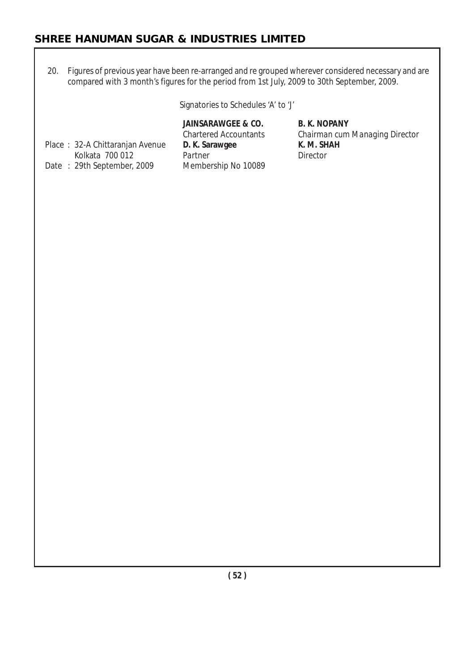20. Figures of previous year have been re-arranged and re grouped wherever considered necessary and are compared with 3 month's figures for the period from 1st July, 2009 to 30th September, 2009.

Signatories to Schedules 'A' to 'J'

| <b>Chartered Accountants</b><br>D. K. Sarawgee | Chairma<br>K. M. SH |
|------------------------------------------------|---------------------|
| Partner                                        | Director            |
| Membership No 10089                            |                     |
|                                                |                     |

JAINSARAWGEE & CO. B. K. NOPANY rtered Accountants *Chairman cum Managing Director*<br>Chairman cum Managing Director **K. M. SHAH**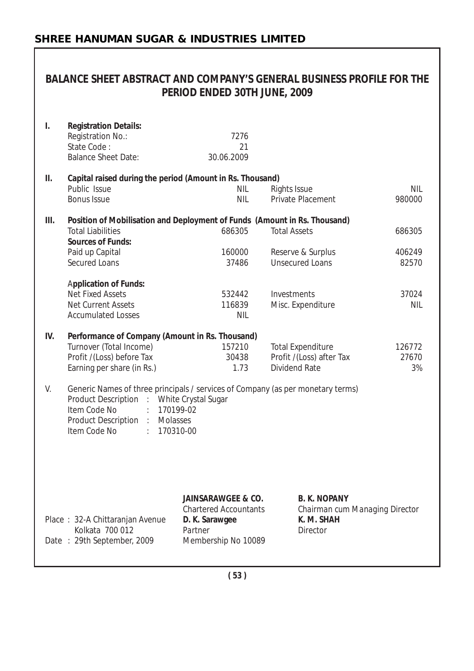| BALANCE SHEET ABSTRACT AND COMPANY'S GENERAL BUSINESS PROFILE FOR THE<br>PERIOD ENDED 30TH JUNE, 2009 |                                                                                                                                                                                                                                                             |                                                                                                                   |                                                                                 |                       |  |  |
|-------------------------------------------------------------------------------------------------------|-------------------------------------------------------------------------------------------------------------------------------------------------------------------------------------------------------------------------------------------------------------|-------------------------------------------------------------------------------------------------------------------|---------------------------------------------------------------------------------|-----------------------|--|--|
| I.                                                                                                    | <b>Registration Details:</b><br>Registration No.:<br>State Code:<br><b>Balance Sheet Date:</b>                                                                                                                                                              | 7276<br>21<br>30.06.2009                                                                                          |                                                                                 |                       |  |  |
| ΙΙ.                                                                                                   | Capital raised during the period (Amount in Rs. Thousand)<br>Public Issue<br><b>Bonus Issue</b>                                                                                                                                                             | NIL<br><b>NIL</b>                                                                                                 | Rights Issue<br>Private Placement                                               | <b>NIL</b><br>980000  |  |  |
| III.                                                                                                  | Position of Mobilisation and Deployment of Funds (Amount in Rs. Thousand)<br><b>Total Liabilities</b><br><b>Sources of Funds:</b>                                                                                                                           | 686305                                                                                                            | <b>Total Assets</b>                                                             | 686305                |  |  |
|                                                                                                       | Paid up Capital<br><b>Secured Loans</b>                                                                                                                                                                                                                     | 160000<br>37486                                                                                                   | Reserve & Surplus<br><b>Unsecured Loans</b>                                     | 406249<br>82570       |  |  |
|                                                                                                       | <b>Application of Funds:</b><br><b>Net Fixed Assets</b><br><b>Net Current Assets</b><br><b>Accumulated Losses</b>                                                                                                                                           | 532442<br>116839<br><b>NIL</b>                                                                                    | Investments<br>Misc. Expenditure                                                | 37024<br><b>NIL</b>   |  |  |
| IV.                                                                                                   | Performance of Company (Amount in Rs. Thousand)<br>Turnover (Total Income)<br>Profit /(Loss) before Tax<br>Earning per share (in Rs.)                                                                                                                       | 157210<br>30438<br>1.73                                                                                           | <b>Total Expenditure</b><br>Profit /(Loss) after Tax<br><b>Dividend Rate</b>    | 126772<br>27670<br>3% |  |  |
| V.                                                                                                    | Generic Names of three principals / services of Company (as per monetary terms)<br>Product Description:<br>White Crystal Sugar<br>Item Code No<br>170199-02<br>$\ddot{\phantom{a}}$<br>Product Description :<br>Molasses<br>Item Code No<br>170310-00<br>÷. |                                                                                                                   |                                                                                 |                       |  |  |
|                                                                                                       | Place: 32-A Chittaranjan Avenue<br>Kolkata 700 012<br>Date: 29th September, 2009                                                                                                                                                                            | <b>JAINSARAWGEE &amp; CO.</b><br><b>Chartered Accountants</b><br>D. K. Sarawgee<br>Partner<br>Membership No 10089 | <b>B. K. NOPANY</b><br>Chairman cum Managing Director<br>K. M. SHAH<br>Director |                       |  |  |